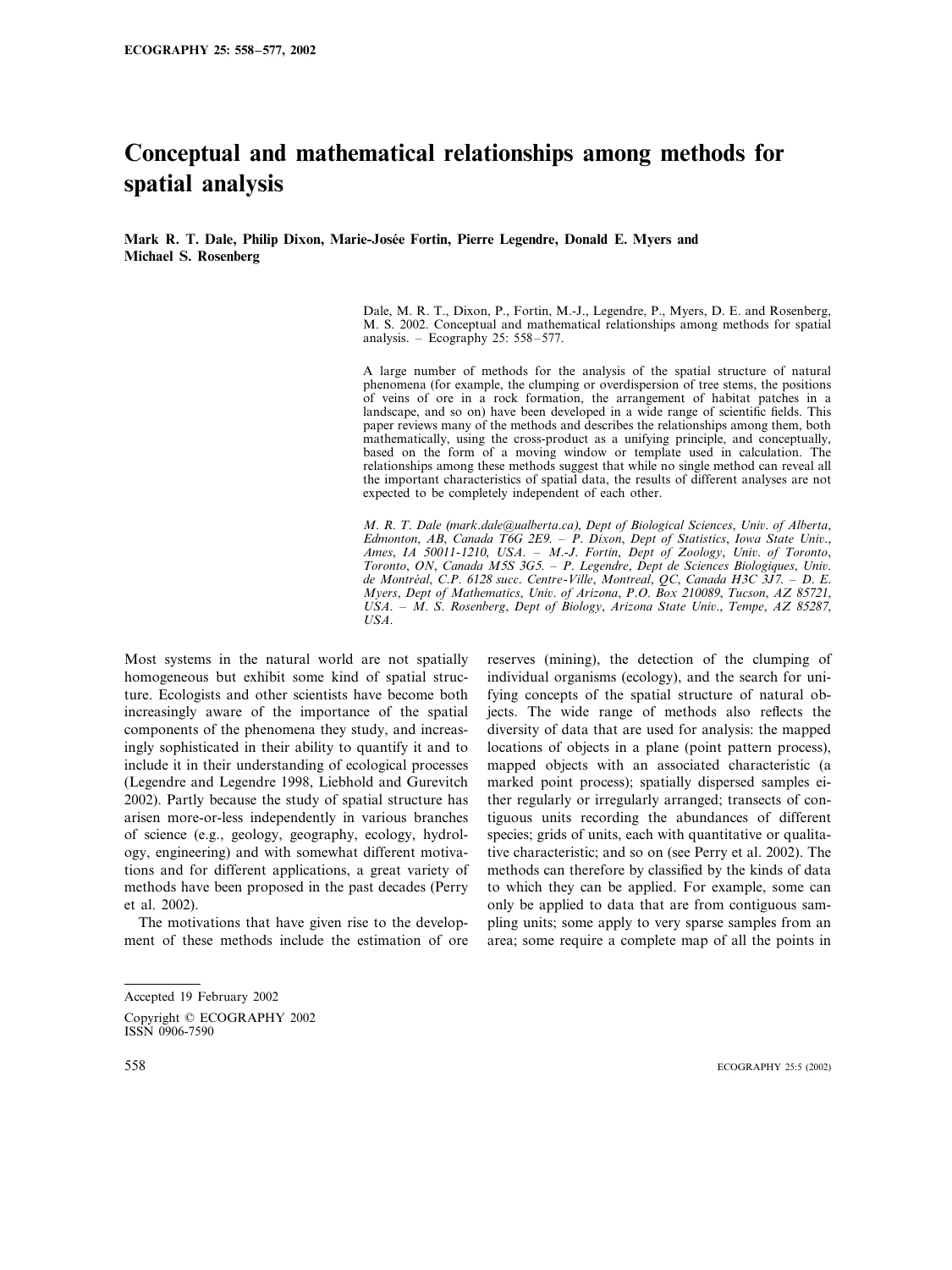# **Conceptual and mathematical relationships among methods for spatial analysis**

Mark R. T. Dale, Philip Dixon, Marie-Josée Fortin, Pierre Legendre, Donald E. Myers and **Michael S. Rosenberg**

> Dale, M. R. T., Dixon, P., Fortin, M.-J., Legendre, P., Myers, D. E. and Rosenberg, M. S. 2002. Conceptual and mathematical relationships among methods for spatial analysis. – Ecography 25: 558–577.

> A large number of methods for the analysis of the spatial structure of natural phenomena (for example, the clumping or overdispersion of tree stems, the positions of veins of ore in a rock formation, the arrangement of habitat patches in a landscape, and so on) have been developed in a wide range of scientific fields. This paper reviews many of the methods and describes the relationships among them, both mathematically, using the cross-product as a unifying principle, and conceptually, based on the form of a moving window or template used in calculation. The relationships among these methods suggest that while no single method can reveal all the important characteristics of spatial data, the results of different analyses are not expected to be completely independent of each other.

> *M*. *R*. *T*. *Dale* (*mark*.*dale@ualberta*.*ca*), *Dept of Biological Sciences*, *Uni*. *of Alberta*, *Edmonton*, *AB*, *Canada T*6*G* <sup>2</sup>*E*9. – *P*. *Dixon*, *Dept of Statistics*, *Iowa State Uni*., *Ames*, *IA* <sup>50011</sup>-1210, *USA*. – *M*.-*J*. *Fortin*, *Dept of Zoology*, *Uni*. *of Toronto*, *Toronto*, *ON*, *Canada M*5*S* <sup>3</sup>*G*5. – *P*. *Legendre*, *Dept de Sciences Biologiques*, *Uni*. *de Montre´al*, *C*.*P*. 6128 *succ*. *Centre*-*Ville*, *Montreal*, *QC*, *Canada H*3*C* 3*J*7. – *D*. *E*. *Myers*, *Dept of Mathematics*, *Uni*. *of Arizona*, *P*.*O*. *Box* <sup>210089</sup>, *Tucson*, *AZ* <sup>85721</sup>, *USA*. – *M*. *S*. *Rosenberg*, *Dept of Biology*, *Arizona State Uni*., *Tempe*, *AZ* <sup>85287</sup>, *USA*.

Most systems in the natural world are not spatially homogeneous but exhibit some kind of spatial structure. Ecologists and other scientists have become both increasingly aware of the importance of the spatial components of the phenomena they study, and increasingly sophisticated in their ability to quantify it and to include it in their understanding of ecological processes (Legendre and Legendre 1998, Liebhold and Gurevitch 2002). Partly because the study of spatial structure has arisen more-or-less independently in various branches of science (e.g., geology, geography, ecology, hydrology, engineering) and with somewhat different motivations and for different applications, a great variety of methods have been proposed in the past decades (Perry et al. 2002).

The motivations that have given rise to the development of these methods include the estimation of ore

reserves (mining), the detection of the clumping of individual organisms (ecology), and the search for unifying concepts of the spatial structure of natural objects. The wide range of methods also reflects the diversity of data that are used for analysis: the mapped locations of objects in a plane (point pattern process), mapped objects with an associated characteristic (a marked point process); spatially dispersed samples either regularly or irregularly arranged; transects of contiguous units recording the abundances of different species; grids of units, each with quantitative or qualitative characteristic; and so on (see Perry et al. 2002). The methods can therefore by classified by the kinds of data to which they can be applied. For example, some can only be applied to data that are from contiguous sampling units; some apply to very sparse samples from an area; some require a complete map of all the points in

Accepted 19 February 2002 Copyright © ECOGRAPHY 2002 ISSN 0906-7590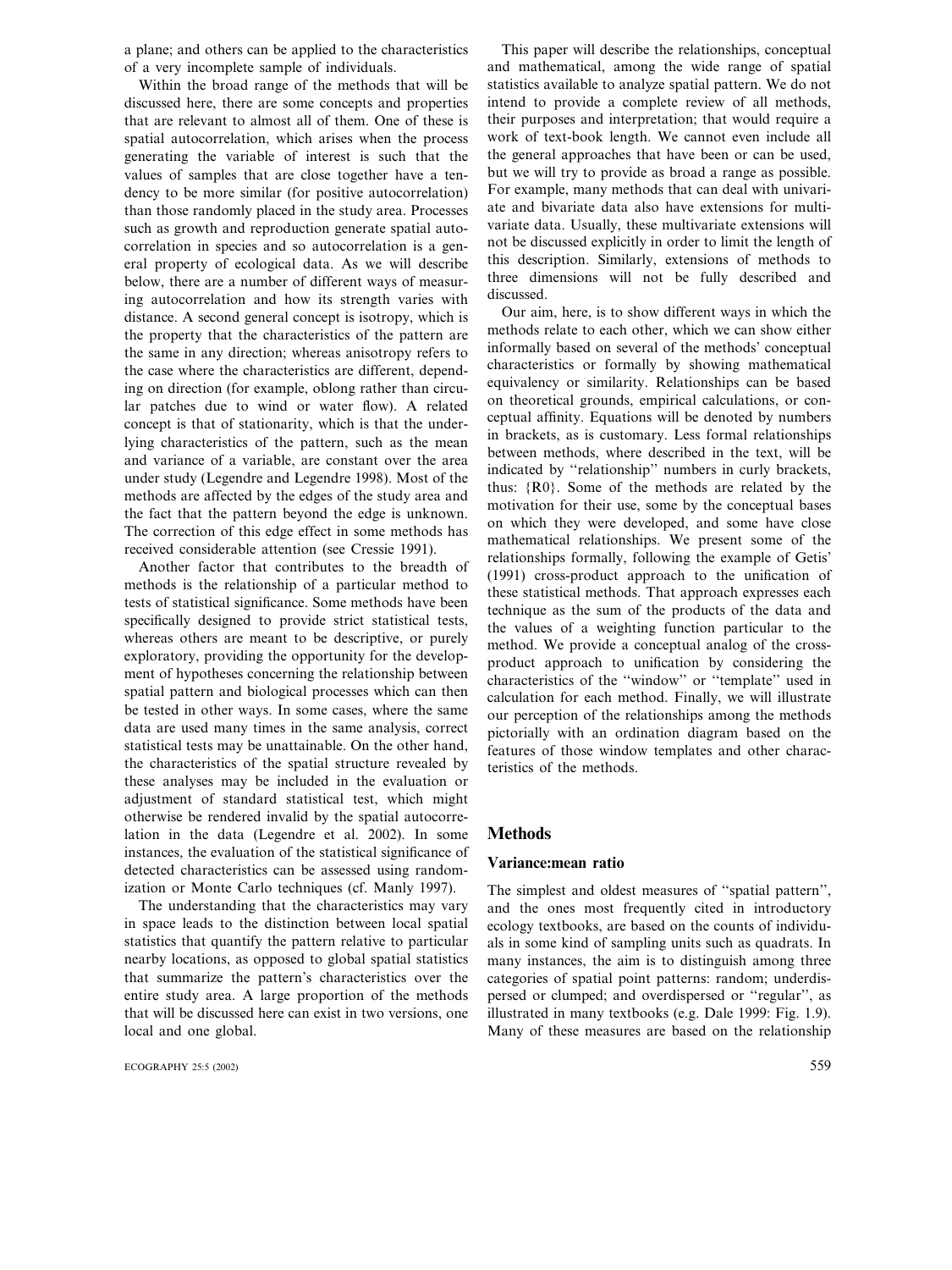a plane; and others can be applied to the characteristics of a very incomplete sample of individuals.

Within the broad range of the methods that will be discussed here, there are some concepts and properties that are relevant to almost all of them. One of these is spatial autocorrelation, which arises when the process generating the variable of interest is such that the values of samples that are close together have a tendency to be more similar (for positive autocorrelation) than those randomly placed in the study area. Processes such as growth and reproduction generate spatial autocorrelation in species and so autocorrelation is a general property of ecological data. As we will describe below, there are a number of different ways of measuring autocorrelation and how its strength varies with distance. A second general concept is isotropy, which is the property that the characteristics of the pattern are the same in any direction; whereas anisotropy refers to the case where the characteristics are different, depending on direction (for example, oblong rather than circular patches due to wind or water flow). A related concept is that of stationarity, which is that the underlying characteristics of the pattern, such as the mean and variance of a variable, are constant over the area under study (Legendre and Legendre 1998). Most of the methods are affected by the edges of the study area and the fact that the pattern beyond the edge is unknown. The correction of this edge effect in some methods has received considerable attention (see Cressie 1991).

Another factor that contributes to the breadth of methods is the relationship of a particular method to tests of statistical significance. Some methods have been specifically designed to provide strict statistical tests, whereas others are meant to be descriptive, or purely exploratory, providing the opportunity for the development of hypotheses concerning the relationship between spatial pattern and biological processes which can then be tested in other ways. In some cases, where the same data are used many times in the same analysis, correct statistical tests may be unattainable. On the other hand, the characteristics of the spatial structure revealed by these analyses may be included in the evaluation or adjustment of standard statistical test, which might otherwise be rendered invalid by the spatial autocorrelation in the data (Legendre et al. 2002). In some instances, the evaluation of the statistical significance of detected characteristics can be assessed using randomization or Monte Carlo techniques (cf. Manly 1997).

The understanding that the characteristics may vary in space leads to the distinction between local spatial statistics that quantify the pattern relative to particular nearby locations, as opposed to global spatial statistics that summarize the pattern's characteristics over the entire study area. A large proportion of the methods that will be discussed here can exist in two versions, one local and one global.

 $ECOGRAPHY 25:5 (2002)$  559

This paper will describe the relationships, conceptual and mathematical, among the wide range of spatial statistics available to analyze spatial pattern. We do not intend to provide a complete review of all methods, their purposes and interpretation; that would require a work of text-book length. We cannot even include all the general approaches that have been or can be used, but we will try to provide as broad a range as possible. For example, many methods that can deal with univariate and bivariate data also have extensions for multivariate data. Usually, these multivariate extensions will not be discussed explicitly in order to limit the length of this description. Similarly, extensions of methods to three dimensions will not be fully described and discussed.

Our aim, here, is to show different ways in which the methods relate to each other, which we can show either informally based on several of the methods' conceptual characteristics or formally by showing mathematical equivalency or similarity. Relationships can be based on theoretical grounds, empirical calculations, or conceptual affinity. Equations will be denoted by numbers in brackets, as is customary. Less formal relationships between methods, where described in the text, will be indicated by ''relationship'' numbers in curly brackets, thus: {R0}. Some of the methods are related by the motivation for their use, some by the conceptual bases on which they were developed, and some have close mathematical relationships. We present some of the relationships formally, following the example of Getis' (1991) cross-product approach to the unification of these statistical methods. That approach expresses each technique as the sum of the products of the data and the values of a weighting function particular to the method. We provide a conceptual analog of the crossproduct approach to unification by considering the characteristics of the ''window'' or ''template'' used in calculation for each method. Finally, we will illustrate our perception of the relationships among the methods pictorially with an ordination diagram based on the features of those window templates and other characteristics of the methods.

## **Methods**

#### **Variance:mean ratio**

The simplest and oldest measures of ''spatial pattern'', and the ones most frequently cited in introductory ecology textbooks, are based on the counts of individuals in some kind of sampling units such as quadrats. In many instances, the aim is to distinguish among three categories of spatial point patterns: random; underdispersed or clumped; and overdispersed or ''regular'', as illustrated in many textbooks (e.g. Dale 1999: Fig. 1.9). Many of these measures are based on the relationship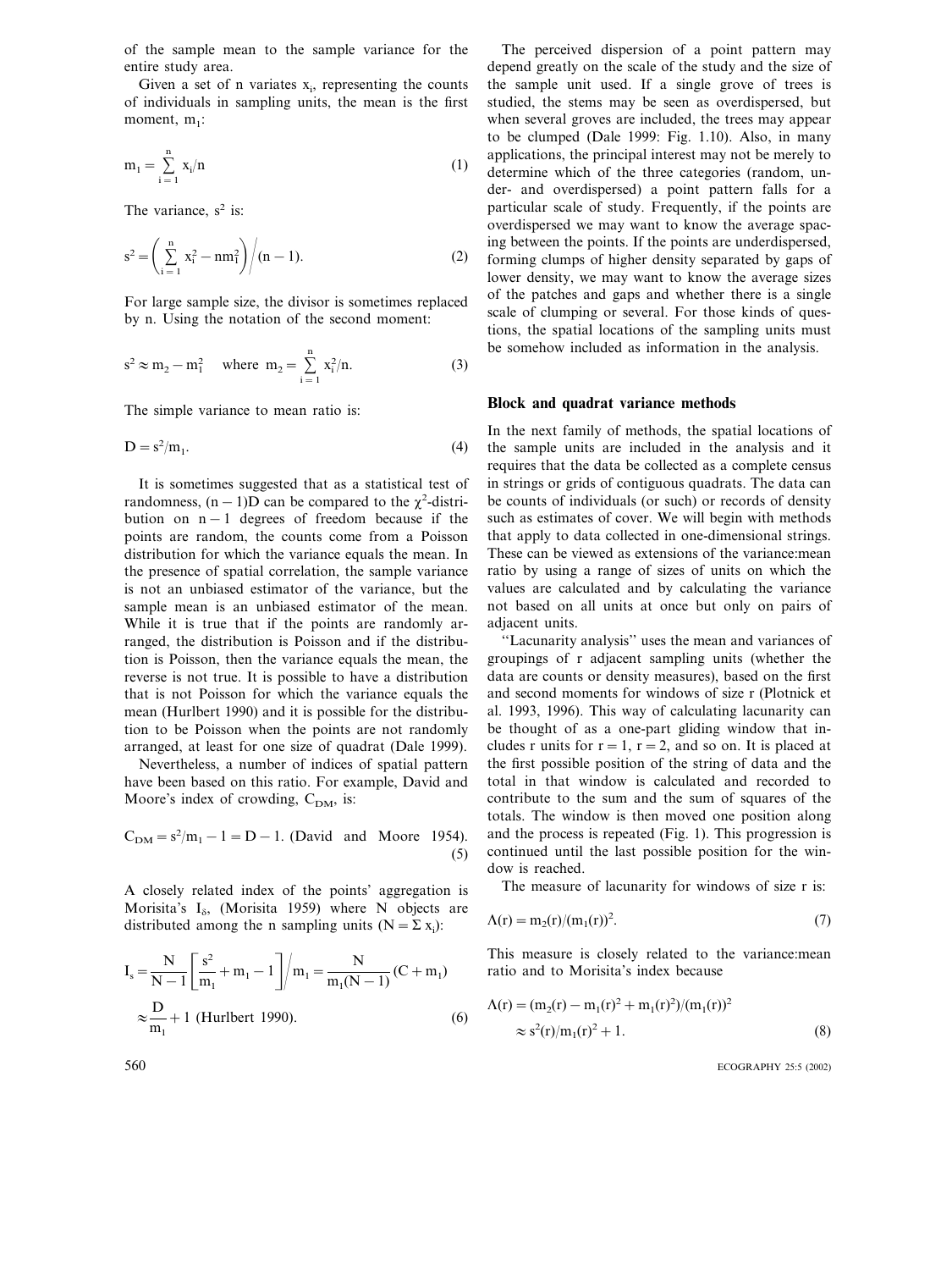of the sample mean to the sample variance for the entire study area.

Given a set of n variates  $x_i$ , representing the counts of individuals in sampling units, the mean is the first moment, m<sub>1</sub>:

$$
m_1 = \sum_{i=1}^{n} x_i/n
$$
 (1)

The variance,  $s^2$  is:

$$
s^{2} = \left(\sum_{i=1}^{n} x_{i}^{2} - nm_{1}^{2}\right) \bigg/ (n-1).
$$
 (2)

For large sample size, the divisor is sometimes replaced by n. Using the notation of the second moment:

$$
s^2 \approx m_2 - m_1^2
$$
 where  $m_2 = \sum_{i=1}^{n} x_i^2/n$ . (3)

The simple variance to mean ratio is:

$$
D = s^2/m_1.
$$
 (4)

It is sometimes suggested that as a statistical test of randomness,  $(n - 1)D$  can be compared to the  $\chi^2$ -distribution on n−1 degrees of freedom because if the points are random, the counts come from a Poisson distribution for which the variance equals the mean. In the presence of spatial correlation, the sample variance is not an unbiased estimator of the variance, but the sample mean is an unbiased estimator of the mean. While it is true that if the points are randomly arranged, the distribution is Poisson and if the distribution is Poisson, then the variance equals the mean, the reverse is not true. It is possible to have a distribution that is not Poisson for which the variance equals the mean (Hurlbert 1990) and it is possible for the distribution to be Poisson when the points are not randomly arranged, at least for one size of quadrat (Dale 1999).

Nevertheless, a number of indices of spatial pattern have been based on this ratio. For example, David and Moore's index of crowding,  $C_{DM}$ , is:

$$
C_{DM} = s^2/m_1 - 1 = D - 1.
$$
 (David and Moore 1954).  
(5)

A closely related index of the points' aggregation is Morisita's  $I_{\delta}$ , (Morisita 1959) where N objects are distributed among the n sampling units  $(N = \Sigma x_i)$ :

$$
I_s = \frac{N}{N-1} \left[ \frac{s^2}{m_1} + m_1 - 1 \right] / m_1 = \frac{N}{m_1(N-1)} (C + m_1)
$$
  

$$
\approx \frac{D}{m_1} + 1 \text{ (Hurlbert 1990).}
$$
 (6)

The perceived dispersion of a point pattern may depend greatly on the scale of the study and the size of the sample unit used. If a single grove of trees is studied, the stems may be seen as overdispersed, but when several groves are included, the trees may appear to be clumped (Dale 1999: Fig. 1.10). Also, in many applications, the principal interest may not be merely to determine which of the three categories (random, under- and overdispersed) a point pattern falls for a particular scale of study. Frequently, if the points are overdispersed we may want to know the average spacing between the points. If the points are underdispersed, forming clumps of higher density separated by gaps of lower density, we may want to know the average sizes of the patches and gaps and whether there is a single scale of clumping or several. For those kinds of questions, the spatial locations of the sampling units must be somehow included as information in the analysis.

#### **Block and quadrat variance methods**

In the next family of methods, the spatial locations of the sample units are included in the analysis and it requires that the data be collected as a complete census in strings or grids of contiguous quadrats. The data can be counts of individuals (or such) or records of density such as estimates of cover. We will begin with methods that apply to data collected in one-dimensional strings. These can be viewed as extensions of the variance:mean ratio by using a range of sizes of units on which the values are calculated and by calculating the variance not based on all units at once but only on pairs of adjacent units.

''Lacunarity analysis'' uses the mean and variances of groupings of r adjacent sampling units (whether the data are counts or density measures), based on the first and second moments for windows of size r (Plotnick et al. 1993, 1996). This way of calculating lacunarity can be thought of as a one-part gliding window that includes r units for  $r=1$ ,  $r=2$ , and so on. It is placed at the first possible position of the string of data and the total in that window is calculated and recorded to contribute to the sum and the sum of squares of the totals. The window is then moved one position along and the process is repeated (Fig. 1). This progression is continued until the last possible position for the window is reached.

The measure of lacunarity for windows of size r is:

$$
\Lambda(\mathbf{r}) = \mathbf{m}_2(\mathbf{r})/(\mathbf{m}_1(\mathbf{r}))^2. \tag{7}
$$

This measure is closely related to the variance:mean ratio and to Morisita's index because

$$
\Lambda(r) = (m_2(r) - m_1(r)^2 + m_1(r)^2)/(m_1(r))^2
$$
  
\n
$$
\approx s^2(r)/m_1(r)^2 + 1.
$$
 (8)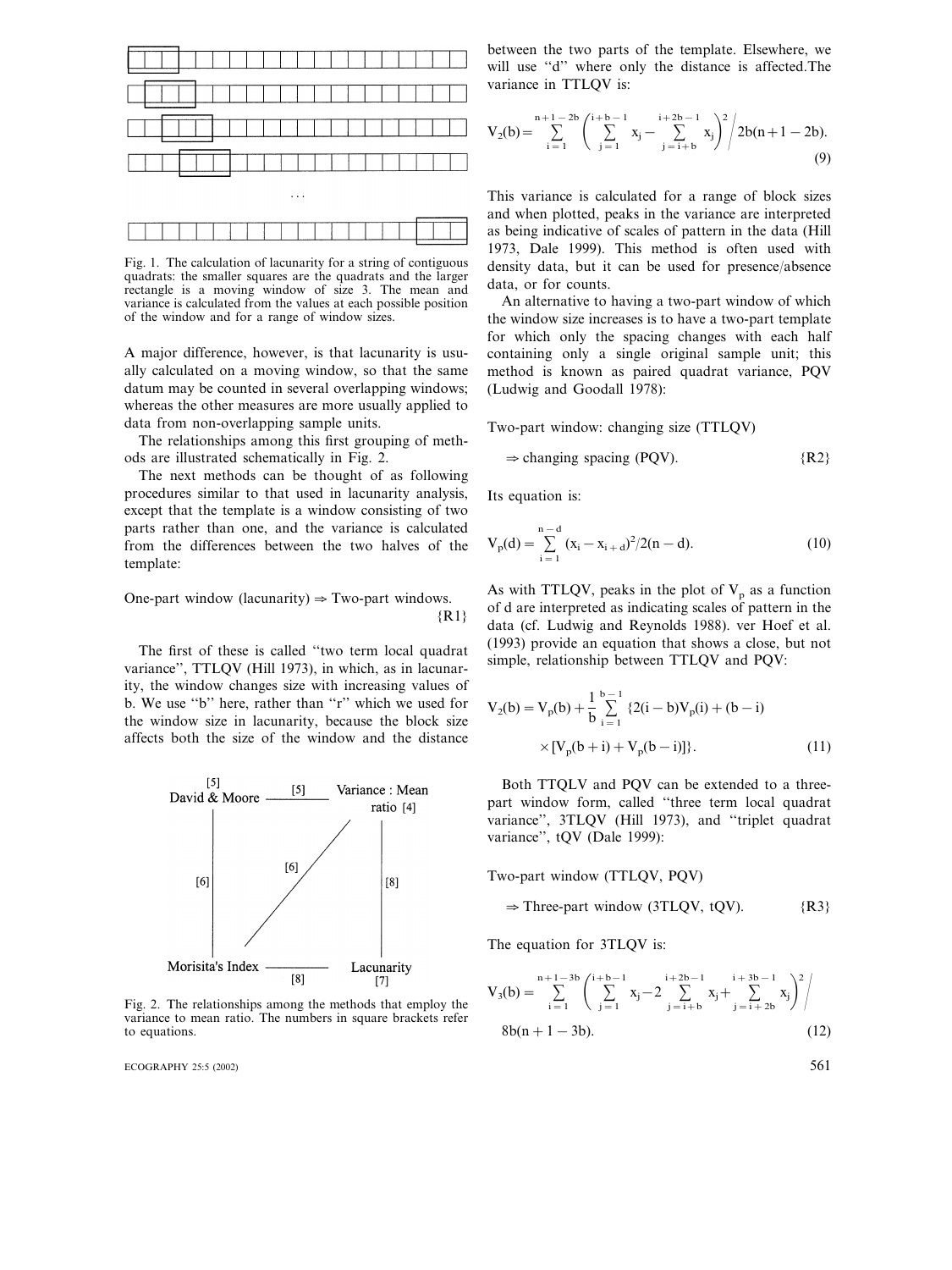

Fig. 1. The calculation of lacunarity for a string of contiguous quadrats: the smaller squares are the quadrats and the larger rectangle is a moving window of size 3. The mean and variance is calculated from the values at each possible position of the window and for a range of window sizes.

A major difference, however, is that lacunarity is usually calculated on a moving window, so that the same datum may be counted in several overlapping windows; whereas the other measures are more usually applied to data from non-overlapping sample units.

The relationships among this first grouping of methods are illustrated schematically in Fig. 2.

The next methods can be thought of as following procedures similar to that used in lacunarity analysis, except that the template is a window consisting of two parts rather than one, and the variance is calculated from the differences between the two halves of the template:

One-part window (lacunarity) 
$$
\Rightarrow
$$
 Two-part windows. {R1}

The first of these is called ''two term local quadrat variance'', TTLQV (Hill 1973), in which, as in lacunarity, the window changes size with increasing values of b. We use ''b'' here, rather than ''r'' which we used for the window size in lacunarity, because the block size affects both the size of the window and the distance



Fig. 2. The relationships among the methods that employ the variance to mean ratio. The numbers in square brackets refer to equations.

 $ECOGRAPHY 25:5 (2002)$  561

between the two parts of the template. Elsewhere, we will use "d" where only the distance is affected. The variance in TTLQV is:

$$
V_2(b) = \sum_{i=1}^{n+1-2b} {\binom{i+b-1}{\sum_{j=1}^{k-1} x_j - \sum_{j=i+b}^{i+2b-1} x_j}^2} / 2b(n+1-2b).
$$
\n(9)

This variance is calculated for a range of block sizes and when plotted, peaks in the variance are interpreted as being indicative of scales of pattern in the data (Hill 1973, Dale 1999). This method is often used with density data, but it can be used for presence/absence data, or for counts.

An alternative to having a two-part window of which the window size increases is to have a two-part template for which only the spacing changes with each half containing only a single original sample unit; this method is known as paired quadrat variance, PQV (Ludwig and Goodall 1978):

Two-part window: changing size (TTLQV)

$$
\Rightarrow changing spacing (PQV). \qquad \{R2\}
$$

Its equation is:

$$
V_p(d) = \sum_{i=1}^{n-d} (x_i - x_{i+d})^2 / 2(n-d).
$$
 (10)

As with TTLQV, peaks in the plot of  $V_p$  as a function of d are interpreted as indicating scales of pattern in the data (cf. Ludwig and Reynolds 1988). ver Hoef et al. (1993) provide an equation that shows a close, but not simple, relationship between TTLQV and PQV:

$$
V_2(b) = V_p(b) + \frac{1}{b} \sum_{i=1}^{b-1} \{2(i-b)V_p(i) + (b-i) \times [V_p(b+i) + V_p(b-i)]\}.
$$
 (11)

Both TTQLV and PQV can be extended to a threepart window form, called ''three term local quadrat variance'', 3TLQV (Hill 1973), and ''triplet quadrat variance'', tQV (Dale 1999):

Two-part window (TTLQV, PQV)

$$
\Rightarrow
$$
 Three-part window (3TLQV, tQV). (R3)

The equation for 3TLQV is:

$$
V_3(b) = \sum_{i=1}^{n+1-3b} \left( \sum_{j=1}^{i+b-1} x_j - 2 \sum_{j=i+b}^{i+2b-1} x_j + \sum_{j=i+2b}^{i+3b-1} x_j \right)^2 /
$$
  
8b(n + 1 - 3b). (12)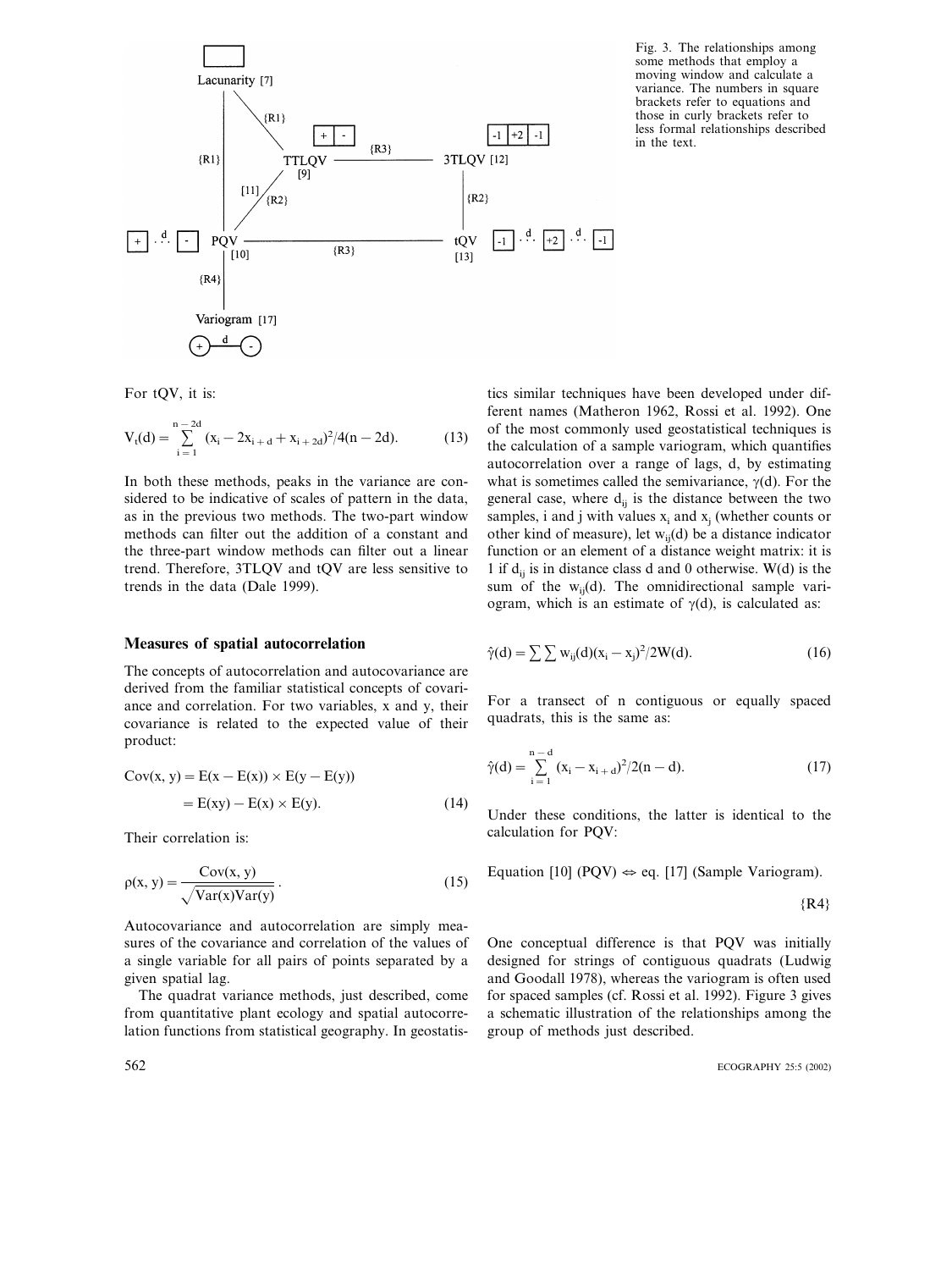

Fig. 3. The relationships among some methods that employ a moving window and calculate a variance. The numbers in square brackets refer to equations and those in curly brackets refer to less formal relationships described in the text.

For tOV, it is:

$$
V_t(d) = \sum_{i=1}^{n-2d} (x_i - 2x_{i+d} + x_{i+2d})^2/4(n-2d).
$$
 (13)

In both these methods, peaks in the variance are considered to be indicative of scales of pattern in the data, as in the previous two methods. The two-part window methods can filter out the addition of a constant and the three-part window methods can filter out a linear trend. Therefore, 3TLQV and tQV are less sensitive to trends in the data (Dale 1999).

## **Measures of spatial autocorrelation**

The concepts of autocorrelation and autocovariance are derived from the familiar statistical concepts of covariance and correlation. For two variables, x and y, their covariance is related to the expected value of their product:

$$
Cov(x, y) = E(x - E(x)) \times E(y - E(y))
$$
  
= E(xy) - E(x) \times E(y). (14)

Their correlation is:

$$
\rho(x, y) = \frac{\text{Cov}(x, y)}{\sqrt{\text{Var}(x)\text{Var}(y)}}.
$$
\n(15)

Autocovariance and autocorrelation are simply measures of the covariance and correlation of the values of a single variable for all pairs of points separated by a given spatial lag.

The quadrat variance methods, just described, come from quantitative plant ecology and spatial autocorrelation functions from statistical geography. In geostatis-

tics similar techniques have been developed under different names (Matheron 1962, Rossi et al. 1992). One of the most commonly used geostatistical techniques is the calculation of a sample variogram, which quantifies autocorrelation over a range of lags, d, by estimating what is sometimes called the semivariance,  $\gamma(d)$ . For the general case, where  $d_{ii}$  is the distance between the two samples, i and j with values  $x_i$  and  $x_j$  (whether counts or other kind of measure), let  $w_{ii}(d)$  be a distance indicator function or an element of a distance weight matrix: it is 1 if  $d_{ii}$  is in distance class d and 0 otherwise. W(d) is the sum of the  $w_{ii}(d)$ . The omnidirectional sample variogram, which is an estimate of  $\gamma(d)$ , is calculated as:

$$
\hat{\gamma}(d) = \sum \sum w_{ij}(d)(x_i - x_j)^2 / 2W(d). \tag{16}
$$

For a transect of n contiguous or equally spaced quadrats, this is the same as:

$$
\hat{\gamma}(d) = \sum_{i=1}^{n-d} (x_i - x_{i+d})^2 / 2(n-d).
$$
 (17)

Under these conditions, the latter is identical to the calculation for PQV:

Equation [10] (PQV)  $\Leftrightarrow$  eq. [17] (Sample Variogram).

$$
\{R4\}
$$

One conceptual difference is that PQV was initially designed for strings of contiguous quadrats (Ludwig and Goodall 1978), whereas the variogram is often used for spaced samples (cf. Rossi et al. 1992). Figure 3 gives a schematic illustration of the relationships among the group of methods just described.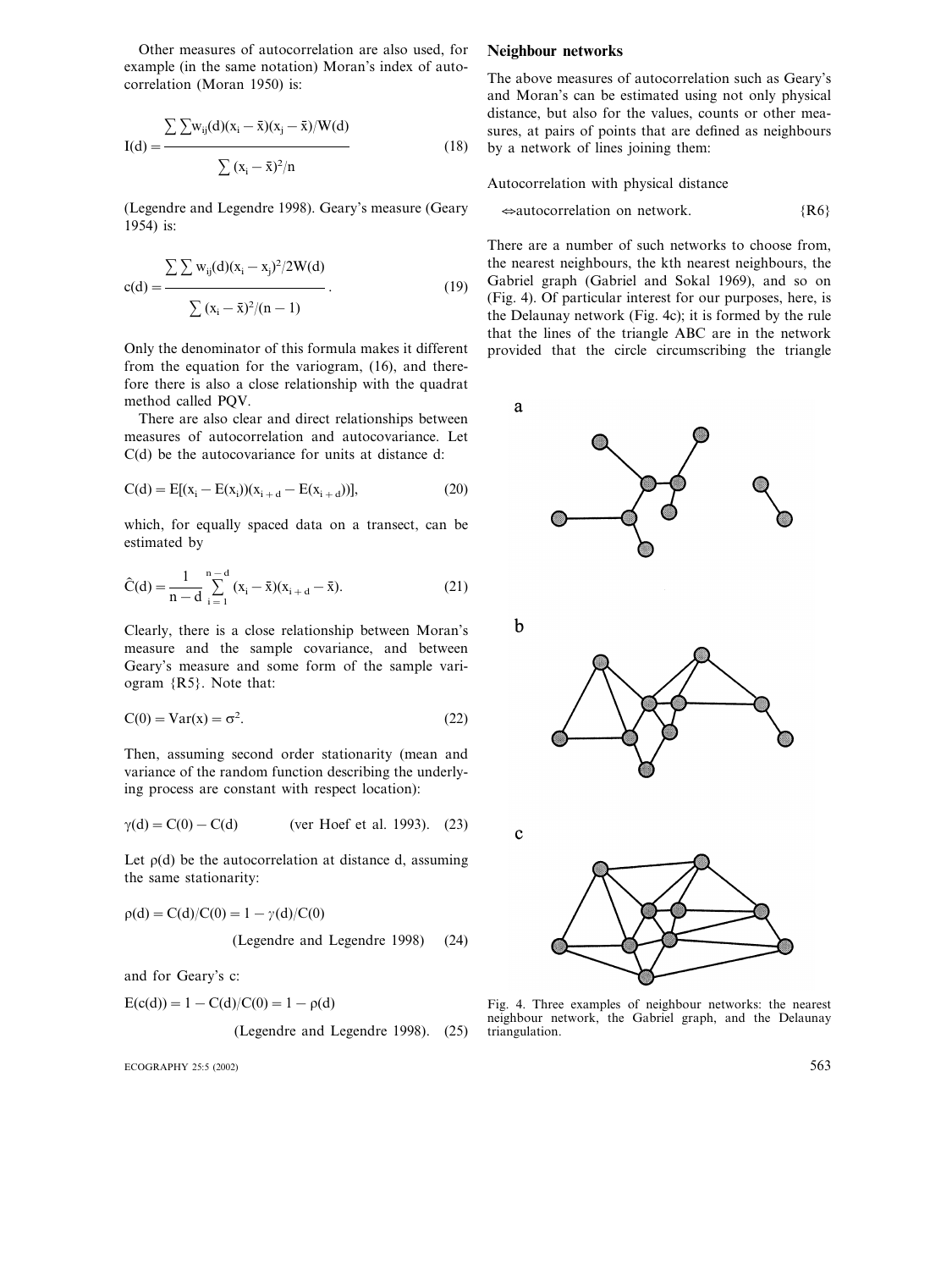Other measures of autocorrelation are also used, for example (in the same notation) Moran's index of autocorrelation (Moran 1950) is:

$$
I(d) = \frac{\sum \sum w_{ij}(d)(x_i - \bar{x})(x_j - \bar{x})/W(d)}{\sum (x_i - \bar{x})^2/n}
$$
(18)

(Legendre and Legendre 1998). Geary's measure (Geary 1954) is:

$$
c(d) = \frac{\sum \sum w_{ij}(d)(x_i - x_j)^2/2W(d)}{\sum (x_i - \bar{x})^2/(n-1)}.
$$
 (19)

Only the denominator of this formula makes it different from the equation for the variogram, (16), and therefore there is also a close relationship with the quadrat method called PQV.

There are also clear and direct relationships between measures of autocorrelation and autocovariance. Let C(d) be the autocovariance for units at distance d:

$$
C(d) = E[(x_i - E(x_i))(x_{i+d} - E(x_{i+d}))],
$$
\n(20)

which, for equally spaced data on a transect, can be estimated by

$$
\hat{C}(d) = \frac{1}{n-d} \sum_{i=1}^{n-d} (x_i - \bar{x})(x_{i+d} - \bar{x}).
$$
\n(21)

Clearly, there is a close relationship between Moran's measure and the sample covariance, and between Geary's measure and some form of the sample variogram {R5}. Note that:

$$
C(0) = Var(x) = \sigma^2.
$$
 (22)

Then, assuming second order stationarity (mean and variance of the random function describing the underlying process are constant with respect location):

$$
\gamma(d) = C(0) - C(d)
$$
 (ver Hoef et al. 1993). (23)

Let  $\rho(d)$  be the autocorrelation at distance d, assuming the same stationarity:

$$
\rho(d) = C(d)/C(0) = 1 - \gamma(d)/C(0)
$$
  
(Legendre and Legendre 1998) (24)

and for Geary's c:

$$
E(c(d)) = 1 - C(d)/C(0) = 1 - \rho(d)
$$

(Legendre and Legendre 1998). (25)

 $ECOGRAPHY 25:5 (2002)$  563

## **Neighbour networks**

The above measures of autocorrelation such as Geary's and Moran's can be estimated using not only physical distance, but also for the values, counts or other measures, at pairs of points that are defined as neighbours by a network of lines joining them:

Autocorrelation with physical distance

$$
\Leftrightarrow \text{autocorrelation on network.} \qquad \{R6\}
$$

There are a number of such networks to choose from, the nearest neighbours, the kth nearest neighbours, the Gabriel graph (Gabriel and Sokal 1969), and so on (Fig. 4). Of particular interest for our purposes, here, is the Delaunay network (Fig. 4c); it is formed by the rule that the lines of the triangle ABC are in the network provided that the circle circumscribing the triangle

a



Fig. 4. Three examples of neighbour networks: the nearest neighbour network, the Gabriel graph, and the Delaunay triangulation.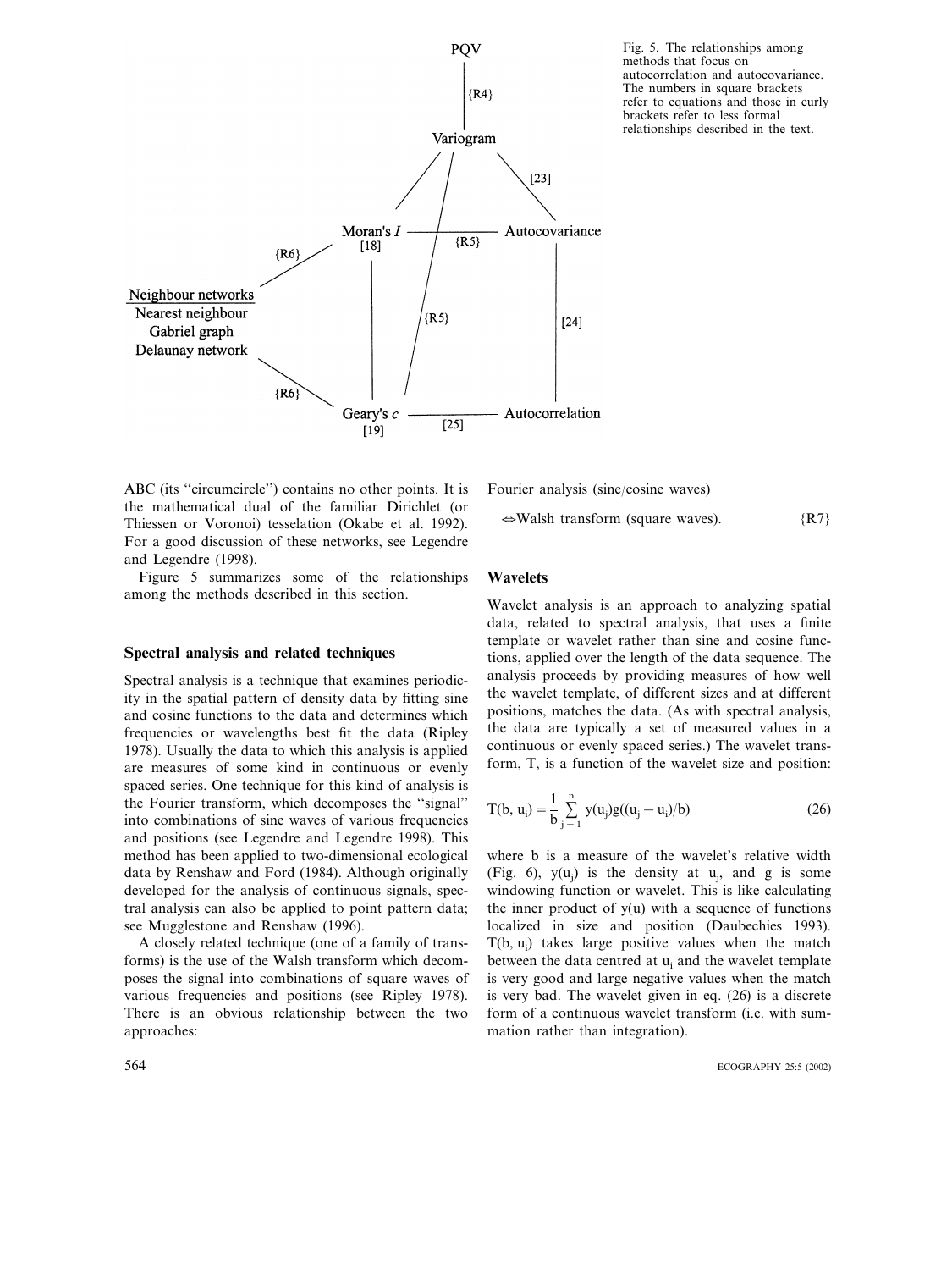

Fig. 5. The relationships among methods that focus on autocorrelation and autocovariance. The numbers in square brackets refer to equations and those in curly brackets refer to less formal relationships described in the text.

ABC (its ''circumcircle'') contains no other points. It is the mathematical dual of the familiar Dirichlet (or Thiessen or Voronoi) tesselation (Okabe et al. 1992). For a good discussion of these networks, see Legendre and Legendre (1998).

Figure 5 summarizes some of the relationships among the methods described in this section.

### **Spectral analysis and related techniques**

Spectral analysis is a technique that examines periodicity in the spatial pattern of density data by fitting sine and cosine functions to the data and determines which frequencies or wavelengths best fit the data (Ripley 1978). Usually the data to which this analysis is applied are measures of some kind in continuous or evenly spaced series. One technique for this kind of analysis is the Fourier transform, which decomposes the ''signal'' into combinations of sine waves of various frequencies and positions (see Legendre and Legendre 1998). This method has been applied to two-dimensional ecological data by Renshaw and Ford (1984). Although originally developed for the analysis of continuous signals, spectral analysis can also be applied to point pattern data; see Mugglestone and Renshaw (1996).

A closely related technique (one of a family of transforms) is the use of the Walsh transform which decomposes the signal into combinations of square waves of various frequencies and positions (see Ripley 1978). There is an obvious relationship between the two approaches:

Fourier analysis (sine/cosine waves)

 $\Leftrightarrow$ Walsh transform (square waves). {R7}

## **Wavelets**

Wavelet analysis is an approach to analyzing spatial data, related to spectral analysis, that uses a finite template or wavelet rather than sine and cosine functions, applied over the length of the data sequence. The analysis proceeds by providing measures of how well the wavelet template, of different sizes and at different positions, matches the data. (As with spectral analysis, the data are typically a set of measured values in a continuous or evenly spaced series.) The wavelet transform, T, is a function of the wavelet size and position:

$$
T(b, u_i) = \frac{1}{b} \sum_{j=1}^{n} y(u_j)g((u_j - u_i)/b)
$$
 (26)

where b is a measure of the wavelet's relative width (Fig. 6),  $y(u_j)$  is the density at  $u_j$ , and g is some windowing function or wavelet. This is like calculating the inner product of  $y(u)$  with a sequence of functions localized in size and position (Daubechies 1993).  $T(b, u_i)$  takes large positive values when the match between the data centred at u<sub>i</sub> and the wavelet template is very good and large negative values when the match is very bad. The wavelet given in eq. (26) is a discrete form of a continuous wavelet transform (i.e. with summation rather than integration).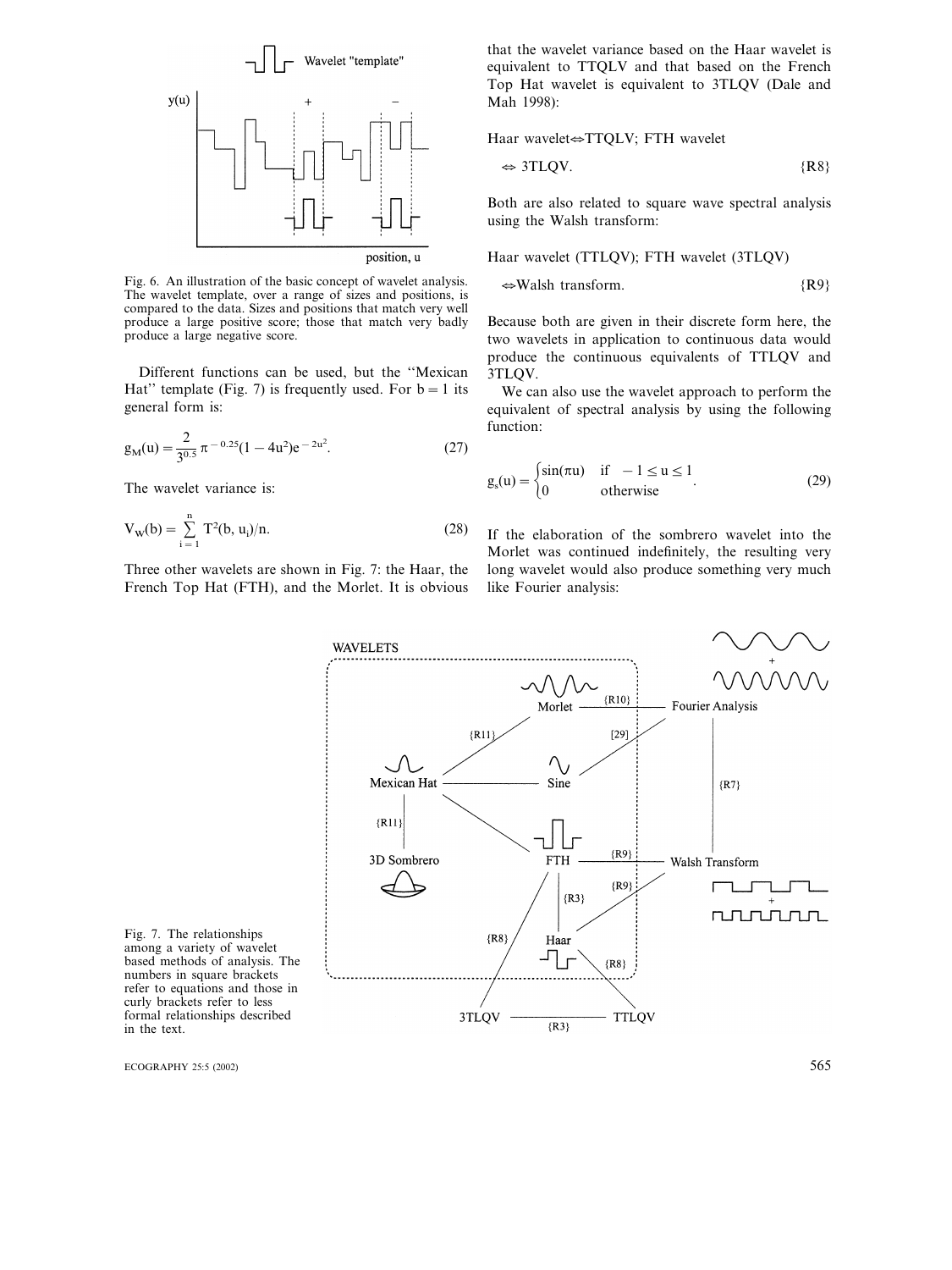

Fig. 6. An illustration of the basic concept of wavelet analysis. The wavelet template, over a range of sizes and positions, is compared to the data. Sizes and positions that match very well produce a large positive score; those that match very badly produce a large negative score.

Different functions can be used, but the ''Mexican Hat" template (Fig. 7) is frequently used. For  $b = 1$  its general form is:

$$
g_M(u) = \frac{2}{3^{0.5}} \pi^{-0.25} (1 - 4u^2) e^{-2u^2}.
$$
 (27)

The wavelet variance is:

$$
V_{w}(b) = \sum_{i=1}^{n} T^{2}(b, u_{i})/n.
$$
 (28)

Three other wavelets are shown in Fig. 7: the Haar, the French Top Hat (FTH), and the Morlet. It is obvious

that the wavelet variance based on the Haar wavelet is equivalent to TTQLV and that based on the French Top Hat wavelet is equivalent to 3TLQV (Dale and Mah 1998):

Haar wavelet⇔TTQLV; FTH wavelet

$$
\Leftrightarrow 3TLQV. \qquad \qquad \{R8\}
$$

Both are also related to square wave spectral analysis using the Walsh transform:

Haar wavelet (TTLQV); FTH wavelet (3TLQV)

$$
\Leftrightarrow \text{Walsh transform.} \qquad \{R9\}
$$

Because both are given in their discrete form here, the two wavelets in application to continuous data would produce the continuous equivalents of TTLQV and 3TLQV.

We can also use the wavelet approach to perform the equivalent of spectral analysis by using the following function:

$$
g_s(u) = \begin{cases} \sin(\pi u) & \text{if } -1 \le u \le 1 \\ 0 & \text{otherwise} \end{cases}
$$
 (29)

If the elaboration of the sombrero wavelet into the Morlet was continued indefinitely, the resulting very long wavelet would also produce something very much like Fourier analysis:



among a variety of wavelet based methods of analysis. The numbers in square brackets refer to equations and those in curly brackets refer to less formal relationships described in the text.

Fig. 7. The relationships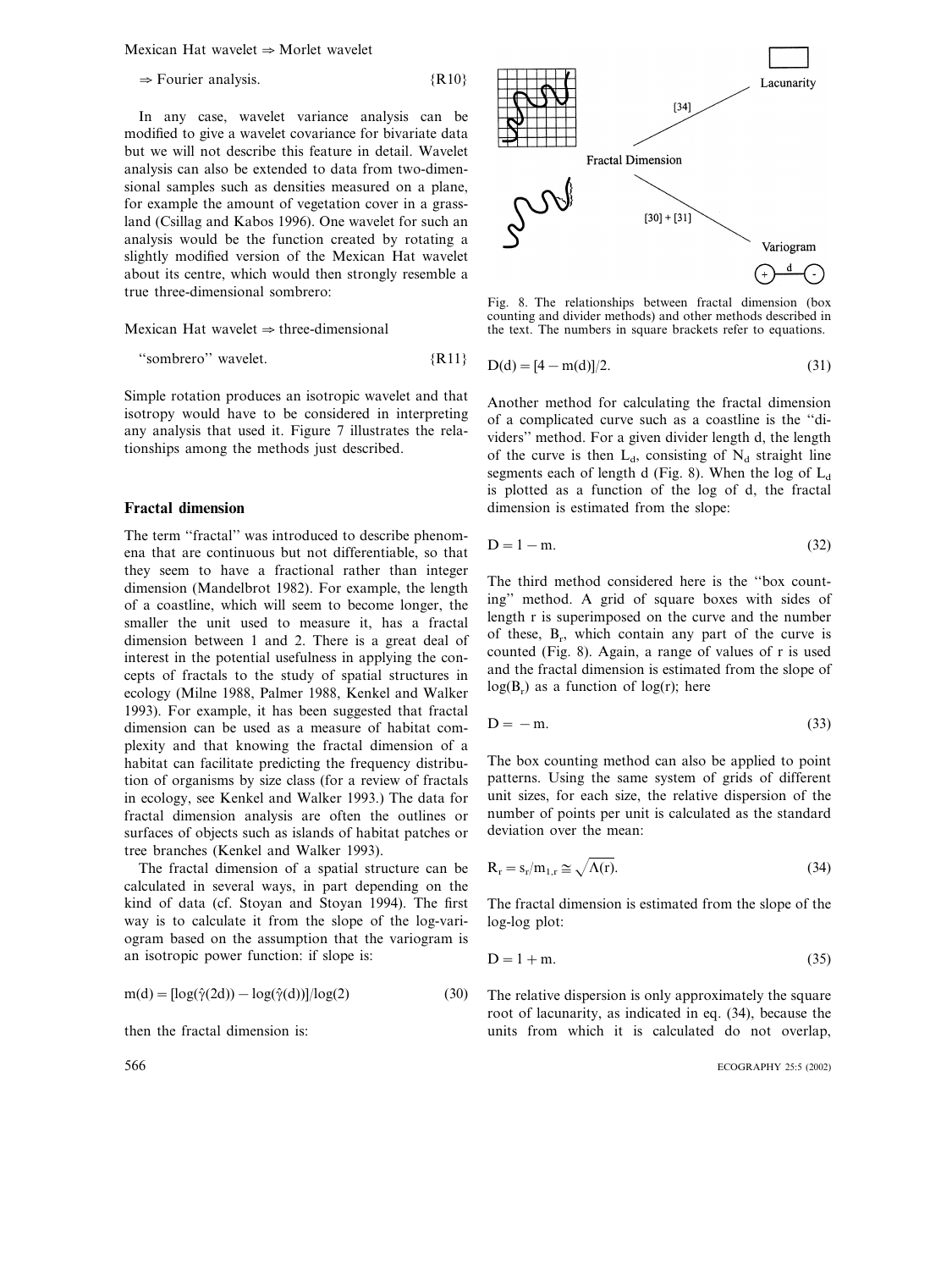Mexican Hat wavelet  $\Rightarrow$  Morlet wavelet

$$
\Rightarrow \text{Fourier analysis.} \tag{R10}
$$

In any case, wavelet variance analysis can be modified to give a wavelet covariance for bivariate data but we will not describe this feature in detail. Wavelet analysis can also be extended to data from two-dimensional samples such as densities measured on a plane, for example the amount of vegetation cover in a grassland (Csillag and Kabos 1996). One wavelet for such an analysis would be the function created by rotating a slightly modified version of the Mexican Hat wavelet about its centre, which would then strongly resemble a true three-dimensional sombrero:

Mexican Hat wavelet  $\Rightarrow$  three-dimensional

$$
\text{``sombrero'' wavelet.} \tag{R11}
$$

Simple rotation produces an isotropic wavelet and that isotropy would have to be considered in interpreting any analysis that used it. Figure 7 illustrates the relationships among the methods just described.

### **Fractal dimension**

The term "fractal" was introduced to describe phenomena that are continuous but not differentiable, so that they seem to have a fractional rather than integer dimension (Mandelbrot 1982). For example, the length of a coastline, which will seem to become longer, the smaller the unit used to measure it, has a fractal dimension between 1 and 2. There is a great deal of interest in the potential usefulness in applying the concepts of fractals to the study of spatial structures in ecology (Milne 1988, Palmer 1988, Kenkel and Walker 1993). For example, it has been suggested that fractal dimension can be used as a measure of habitat complexity and that knowing the fractal dimension of a habitat can facilitate predicting the frequency distribution of organisms by size class (for a review of fractals in ecology, see Kenkel and Walker 1993.) The data for fractal dimension analysis are often the outlines or surfaces of objects such as islands of habitat patches or tree branches (Kenkel and Walker 1993).

The fractal dimension of a spatial structure can be calculated in several ways, in part depending on the kind of data (cf. Stoyan and Stoyan 1994). The first way is to calculate it from the slope of the log-variogram based on the assumption that the variogram is an isotropic power function: if slope is:

$$
m(d) = [\log(\hat{\gamma}(2d)) - \log(\hat{\gamma}(d))] / \log(2)
$$
\n(30)

then the fractal dimension is:



Fig. 8. The relationships between fractal dimension (box counting and divider methods) and other methods described in the text. The numbers in square brackets refer to equations.

$$
D(d) = [4 - m(d)]/2.
$$
 (31)

Another method for calculating the fractal dimension of a complicated curve such as a coastline is the ''dividers'' method. For a given divider length d, the length of the curve is then  $L_d$ , consisting of  $N_d$  straight line segments each of length d (Fig. 8). When the log of  $L_d$ is plotted as a function of the log of d, the fractal dimension is estimated from the slope:

$$
D = 1 - m.\tag{32}
$$

The third method considered here is the ''box counting'' method. A grid of square boxes with sides of length r is superimposed on the curve and the number of these, Br, which contain any part of the curve is counted (Fig. 8). Again, a range of values of r is used and the fractal dimension is estimated from the slope of  $log(B_r)$  as a function of  $log(r)$ ; here

$$
D = -m.\tag{33}
$$

The box counting method can also be applied to point patterns. Using the same system of grids of different unit sizes, for each size, the relative dispersion of the number of points per unit is calculated as the standard deviation over the mean:

$$
R_r = s_r/m_{1,r} \approx \sqrt{\Lambda(r)}.
$$
 (34)

The fractal dimension is estimated from the slope of the log-log plot:

$$
D = 1 + m. \tag{35}
$$

The relative dispersion is only approximately the square root of lacunarity, as indicated in eq. (34), because the units from which it is calculated do not overlap,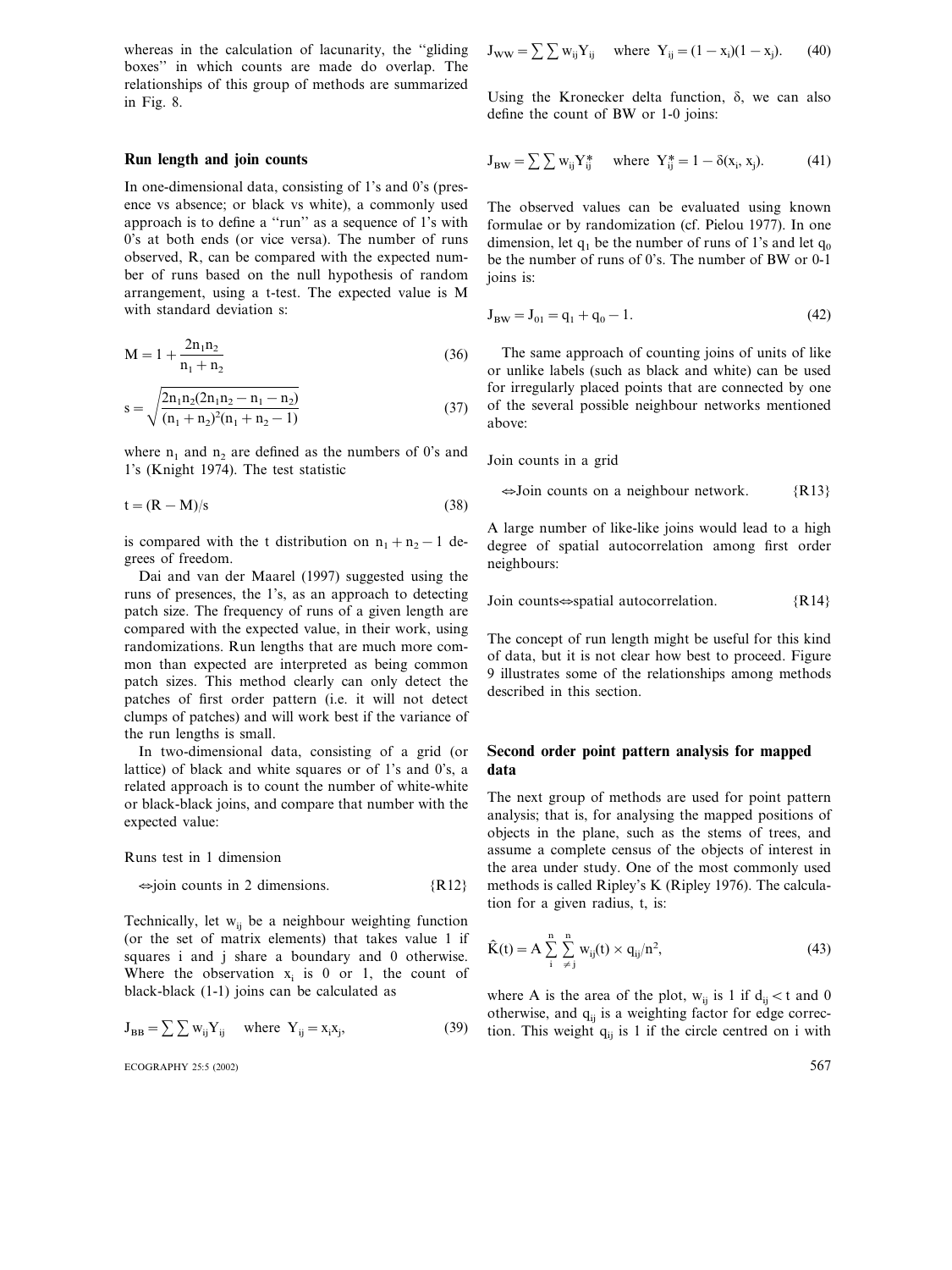whereas in the calculation of lacunarity, the ''gliding boxes'' in which counts are made do overlap. The relationships of this group of methods are summarized in Fig. 8.

#### **Run length and join counts**

In one-dimensional data, consisting of 1's and 0's (presence vs absence; or black vs white), a commonly used approach is to define a ''run'' as a sequence of 1's with 0's at both ends (or vice versa). The number of runs observed, R, can be compared with the expected number of runs based on the null hypothesis of random arrangement, using a t-test. The expected value is M with standard deviation s:

$$
M = 1 + \frac{2n_1n_2}{n_1 + n_2}
$$
 (36)

$$
s = \sqrt{\frac{2n_1n_2(2n_1n_2 - n_1 - n_2)}{(n_1 + n_2)^2(n_1 + n_2 - 1)}}
$$
(37)

where  $n_1$  and  $n_2$  are defined as the numbers of 0's and 1's (Knight 1974). The test statistic

$$
t = (R - M)/s \tag{38}
$$

is compared with the t distribution on  $n_1 + n_2 - 1$  degrees of freedom.

Dai and van der Maarel (1997) suggested using the runs of presences, the 1's, as an approach to detecting patch size. The frequency of runs of a given length are compared with the expected value, in their work, using randomizations. Run lengths that are much more common than expected are interpreted as being common patch sizes. This method clearly can only detect the patches of first order pattern (i.e. it will not detect clumps of patches) and will work best if the variance of the run lengths is small.

In two-dimensional data, consisting of a grid (or lattice) of black and white squares or of 1's and 0's, a related approach is to count the number of white-white or black-black joins, and compare that number with the expected value:

Runs test in 1 dimension

$$
\Leftrightarrow \text{join counts in 2 dimensions.} \qquad \{R12\}
$$

Technically, let  $w_{ii}$  be a neighbour weighting function (or the set of matrix elements) that takes value 1 if squares i and j share a boundary and 0 otherwise. Where the observation  $x_i$  is 0 or 1, the count of black-black (1-1) joins can be calculated as

$$
J_{BB} = \sum \sum w_{ij} Y_{ij} \quad \text{where } Y_{ij} = x_i x_j,
$$
 (39)

 $ECOGRAPHY 25:5 (2002)$  567

$$
J_{ww} = \sum \sum w_{ij} Y_{ij}
$$
 where  $Y_{ij} = (1 - x_i)(1 - x_j)$ . (40)

Using the Kronecker delta function,  $\delta$ , we can also define the count of BW or 1-0 joins:

$$
J_{\rm BW} = \sum \sum w_{ij} Y_{ij}^* \quad \text{ where } Y_{ij}^* = 1 - \delta(x_i, x_j). \tag{41}
$$

The observed values can be evaluated using known formulae or by randomization (cf. Pielou 1977). In one dimension, let  $q_1$  be the number of runs of 1's and let  $q_0$ be the number of runs of 0's. The number of BW or 0-1 joins is:

$$
J_{BW} = J_{01} = q_1 + q_0 - 1.
$$
 (42)

The same approach of counting joins of units of like or unlike labels (such as black and white) can be used for irregularly placed points that are connected by one of the several possible neighbour networks mentioned above:

Join counts in a grid

$$
\Leftrightarrow \text{Join counts on a neighbor network.} \qquad \{R13\}
$$

A large number of like-like joins would lead to a high degree of spatial autocorrelation among first order neighbours:

Join counts 
$$
\Leftrightarrow
$$
 spatial autocorrelation.  $\{R14\}$ 

The concept of run length might be useful for this kind of data, but it is not clear how best to proceed. Figure 9 illustrates some of the relationships among methods described in this section.

## **Second order point pattern analysis for mapped data**

The next group of methods are used for point pattern analysis; that is, for analysing the mapped positions of objects in the plane, such as the stems of trees, and assume a complete census of the objects of interest in the area under study. One of the most commonly used methods is called Ripley's K (Ripley 1976). The calculation for a given radius, t, is:

$$
\hat{K}(t) = A \sum_{i}^{n} \sum_{\neq j}^{n} w_{ij}(t) \times q_{ij}/n^2,
$$
\n(43)

where A is the area of the plot,  $w_{ij}$  is 1 if  $d_{ij} < t$  and 0 otherwise, and  $q_{ii}$  is a weighting factor for edge correction. This weight  $q_{ij}$  is 1 if the circle centred on i with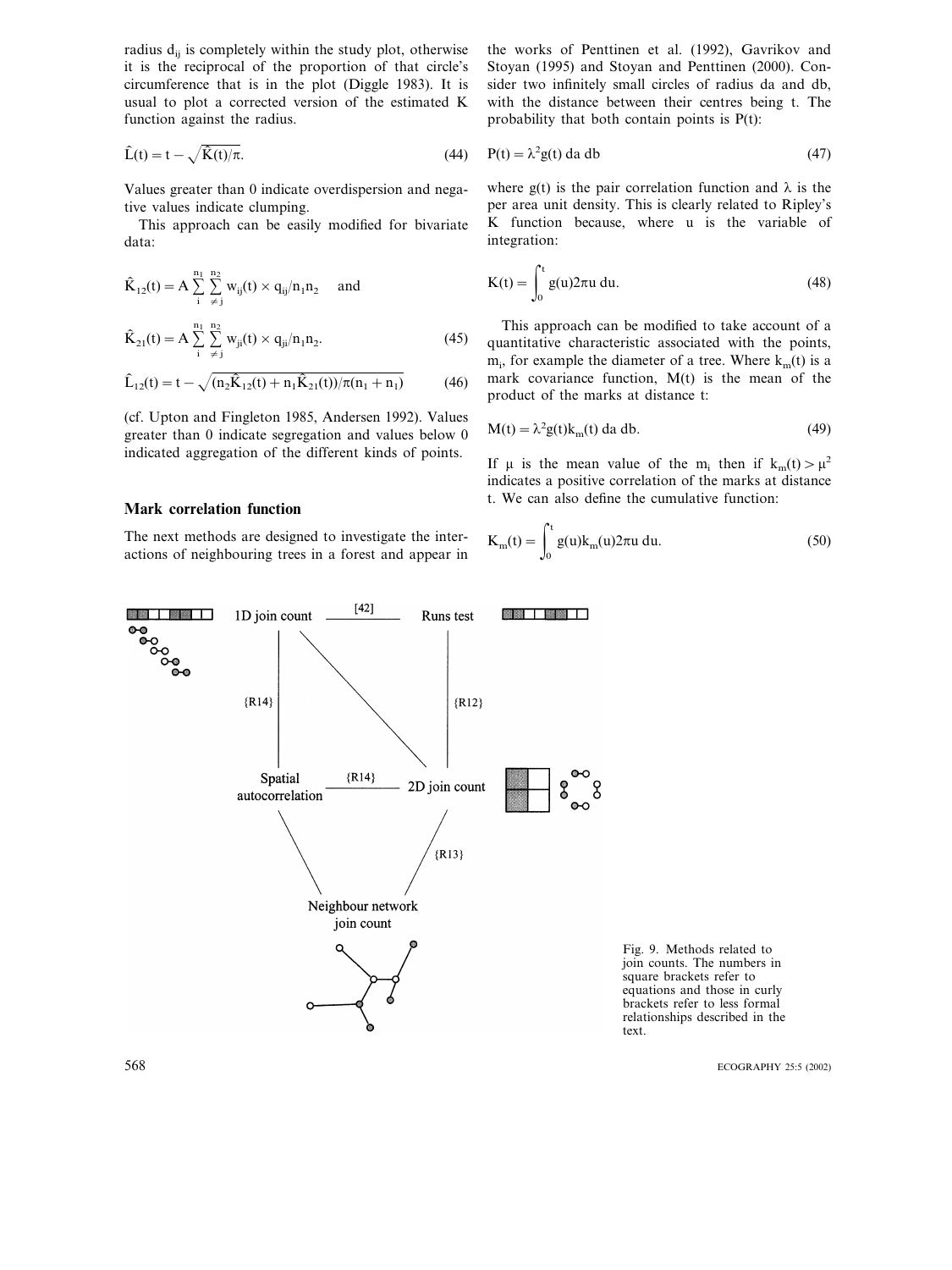radius  $d_{ii}$  is completely within the study plot, otherwise it is the reciprocal of the proportion of that circle's circumference that is in the plot (Diggle 1983). It is usual to plot a corrected version of the estimated K function against the radius.

$$
\hat{L}(t) = t - \sqrt{\hat{K}(t)/\pi}.
$$
\n(44)

Values greater than 0 indicate overdispersion and negative values indicate clumping.

This approach can be easily modified for bivariate data:

$$
\hat{K}_{12}(t) = A \sum_{i}^{n_1} \sum_{\neq j}^{n_2} w_{ij}(t) \times q_{ij}/n_1 n_2 \text{ and}
$$
\n
$$
\hat{K}_{21}(t) = A \sum_{i}^{n_1} \sum_{\neq j}^{n_2} w_{ji}(t) \times q_{ji}/n_1 n_2.
$$
\n(45)

$$
\hat{L}_{12}(t) = t - \sqrt{(n_2 \hat{K}_{12}(t) + n_1 \hat{K}_{21}(t))/\pi(n_1 + n_1)}
$$
(46)

(cf. Upton and Fingleton 1985, Andersen 1992). Values greater than 0 indicate segregation and values below 0 indicated aggregation of the different kinds of points.

## **Mark correlation function**

The next methods are designed to investigate the interactions of neighbouring trees in a forest and appear in the works of Penttinen et al. (1992), Gavrikov and Stoyan (1995) and Stoyan and Penttinen (2000). Consider two infinitely small circles of radius da and db, with the distance between their centres being t. The probability that both contain points is P(t):

$$
P(t) = \lambda^2 g(t) \, da \, db \tag{47}
$$

where  $g(t)$  is the pair correlation function and  $\lambda$  is the per area unit density. This is clearly related to Ripley's K function because, where u is the variable of integration:

$$
K(t) = \int_0^t g(u) 2\pi u \, du.
$$
 (48)

This approach can be modified to take account of a quantitative characteristic associated with the points,  $m_i$ , for example the diameter of a tree. Where  $k_m(t)$  is a mark covariance function,  $M(t)$  is the mean of the product of the marks at distance t:

$$
M(t) = \lambda^2 g(t) k_m(t) \, da \, db. \tag{49}
$$

If  $\mu$  is the mean value of the m<sub>i</sub> then if  $k_m(t) > \mu^2$ indicates a positive correlation of the marks at distance t. We can also define the cumulative function:

$$
K_{m}(t) = \int_{0}^{t} g(u)k_{m}(u)2\pi u \ du.
$$
 (50)



Fig. 9. Methods related to join counts. The numbers in square brackets refer to equations and those in curly brackets refer to less formal relationships described in the text.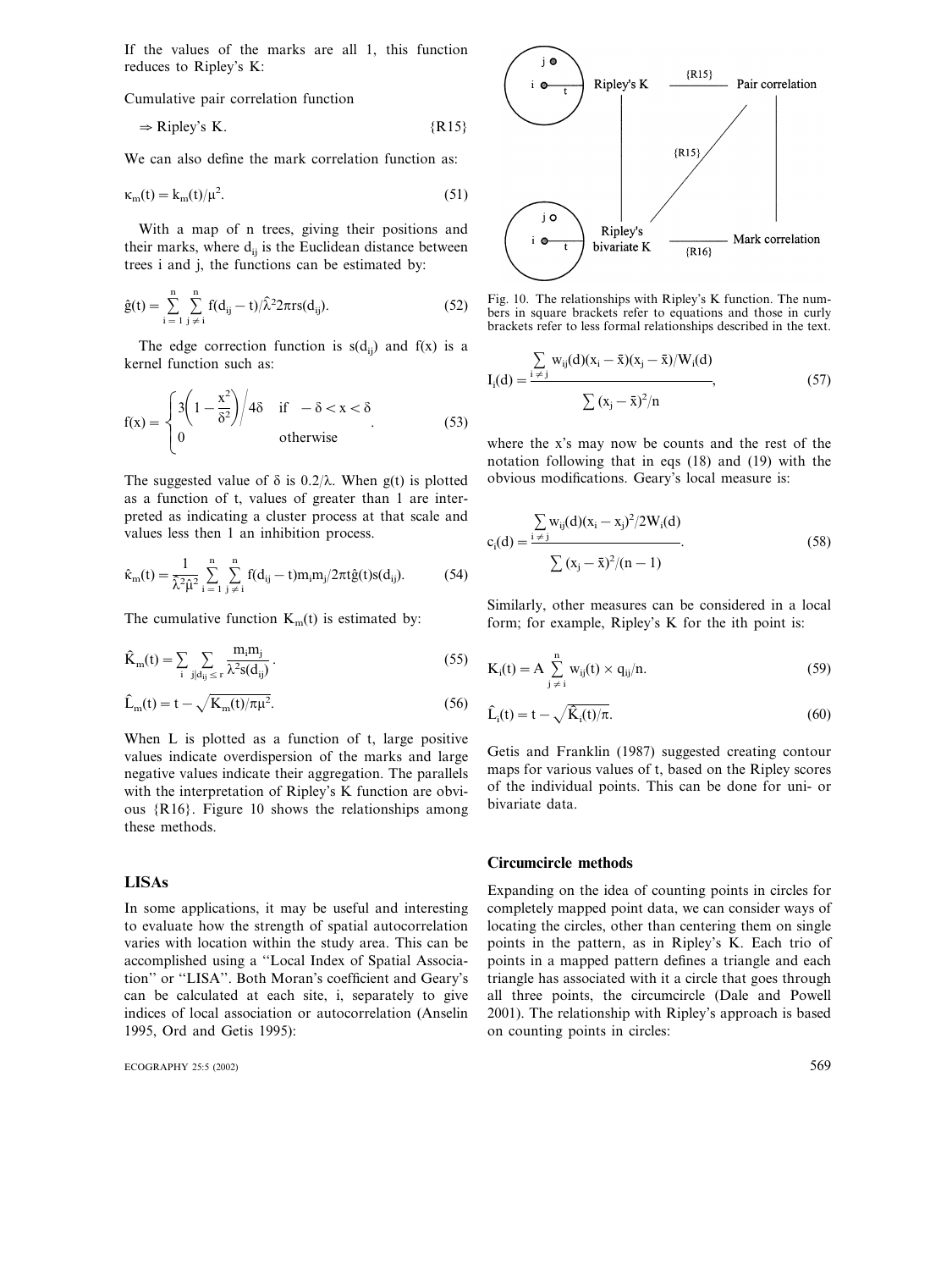If the values of the marks are all 1, this function reduces to Ripley's K:

Cumulative pair correlation function

$$
\Rightarrow Ripley's K. \qquad \{R15\}
$$

We can also define the mark correlation function as:

$$
\kappa_{\rm m}(t) = k_{\rm m}(t)/\mu^2. \tag{51}
$$

With a map of n trees, giving their positions and their marks, where  $d_{ii}$  is the Euclidean distance between trees i and j, the functions can be estimated by:

$$
\hat{g}(t) = \sum_{i=1}^{n} \sum_{j \neq i}^{n} f(d_{ij} - t) / \hat{\lambda}^2 2\pi r s(d_{ij}).
$$
\n(52)

The edge correction function is  $s(d_{ii})$  and  $f(x)$  is a kernel function such as:

$$
f(x) = \begin{cases} 3\left(1 - \frac{x^2}{\delta^2}\right) / 4\delta & \text{if } -\delta < x < \delta \\ 0 & \text{otherwise} \end{cases}
$$
(53)

The suggested value of  $\delta$  is 0.2/ $\lambda$ . When g(t) is plotted as a function of t, values of greater than 1 are interpreted as indicating a cluster process at that scale and values less then 1 an inhibition process.

$$
\hat{\kappa}_{m}(t) = \frac{1}{\hat{\lambda}^{2} \hat{\mu}^{2}} \sum_{i=1}^{n} \sum_{j \neq i}^{n} f(d_{ij} - t) m_{i} m_{j} / 2\pi t \hat{g}(t) s(d_{ij}).
$$
 (54)

The cumulative function  $K<sub>m</sub>(t)$  is estimated by:

$$
\hat{K}_{m}(t) = \sum_{i} \sum_{j|d_{ij} \leq r} \frac{m_{i}m_{j}}{\lambda^{2}s(d_{ij})}.
$$
\n(55)

$$
\hat{L}_m(t) = t - \sqrt{K_m(t)/\pi\mu^2}.
$$
\n(56)

When L is plotted as a function of t, large positive values indicate overdispersion of the marks and large negative values indicate their aggregation. The parallels with the interpretation of Ripley's K function are obvious {R16}. Figure 10 shows the relationships among these methods.

# **LISAs**

In some applications, it may be useful and interesting to evaluate how the strength of spatial autocorrelation varies with location within the study area. This can be accomplished using a ''Local Index of Spatial Association'' or ''LISA''. Both Moran's coefficient and Geary's can be calculated at each site, i, separately to give indices of local association or autocorrelation (Anselin 1995, Ord and Getis 1995):

 $ECOGRAPHY$  25:5 (2002)  $569$ 



Fig. 10. The relationships with Ripley's K function. The numbers in square brackets refer to equations and those in curly brackets refer to less formal relationships described in the text.

$$
I_{i}(d) = \frac{\sum_{i \neq j} w_{ij}(d)(x_{i} - \bar{x})(x_{j} - \bar{x})/W_{i}(d)}{\sum_{i} (x_{j} - \bar{x})^{2}/n},
$$
\n(57)

where the x's may now be counts and the rest of the notation following that in eqs (18) and (19) with the obvious modifications. Geary's local measure is:

$$
c_i(d) = \frac{\sum_{i \neq j} w_{ij}(d)(x_i - x_j)^2 / 2W_i(d)}{\sum_{i \neq j} (x_j - \bar{x})^2 / (n - 1)}.
$$
 (58)

Similarly, other measures can be considered in a local form; for example, Ripley's K for the ith point is:

$$
K_{i}(t) = A \sum_{j \neq i}^{n} w_{ij}(t) \times q_{ij}/n.
$$
 (59)

$$
\hat{L}_i(t) = t - \sqrt{\hat{K}_i(t)/\pi}.
$$
\n(60)

Getis and Franklin (1987) suggested creating contour maps for various values of t, based on the Ripley scores of the individual points. This can be done for uni- or bivariate data.

#### **Circumcircle methods**

Expanding on the idea of counting points in circles for completely mapped point data, we can consider ways of locating the circles, other than centering them on single points in the pattern, as in Ripley's K. Each trio of points in a mapped pattern defines a triangle and each triangle has associated with it a circle that goes through all three points, the circumcircle (Dale and Powell 2001). The relationship with Ripley's approach is based on counting points in circles: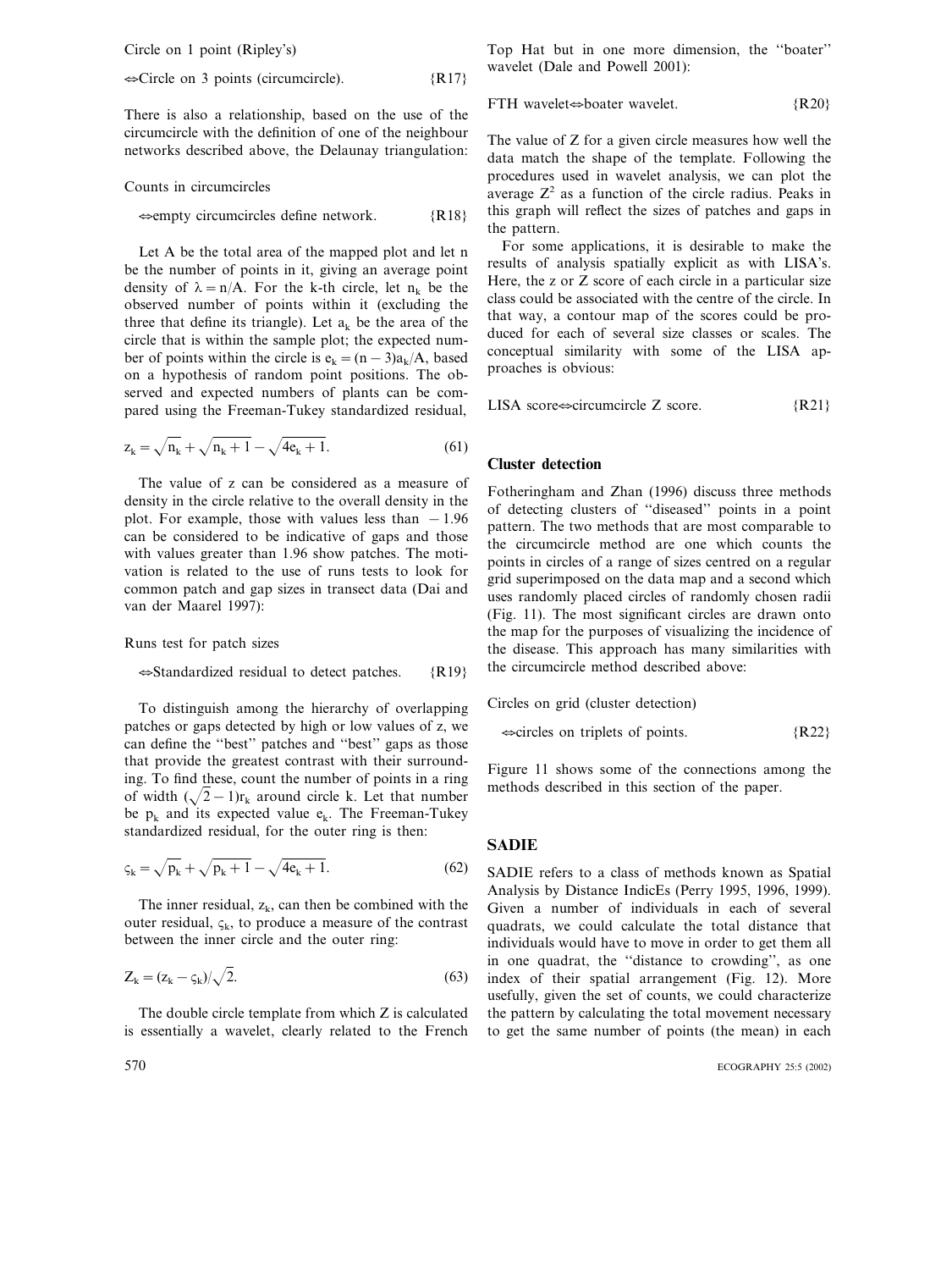Circle on 1 point (Ripley's)

$$
\Leftrightarrow \text{Circle on 3 points (circumcircle).} \tag{R17}
$$

There is also a relationship, based on the use of the circumcircle with the definition of one of the neighbour networks described above, the Delaunay triangulation:

#### Counts in circumcircles

$$
\Leftrightarrow \text{empty circumericles define network.} \qquad \{R18\}
$$

Let A be the total area of the mapped plot and let n be the number of points in it, giving an average point density of  $\lambda = n/A$ . For the k-th circle, let  $n_k$  be the observed number of points within it (excluding the three that define its triangle). Let  $a_k$  be the area of the circle that is within the sample plot; the expected number of points within the circle is  $e_k=(n-3)a_k/A$ , based on a hypothesis of random point positions. The observed and expected numbers of plants can be compared using the Freeman-Tukey standardized residual,

$$
z_{k} = \sqrt{n_{k}} + \sqrt{n_{k} + 1} - \sqrt{4e_{k} + 1}.
$$
 (61)

The value of z can be considered as a measure of density in the circle relative to the overall density in the plot. For example, those with values less than  $-1.96$ can be considered to be indicative of gaps and those with values greater than 1.96 show patches. The motivation is related to the use of runs tests to look for common patch and gap sizes in transect data (Dai and van der Maarel 1997):

#### Runs test for patch sizes

$$
\Leftrightarrow
$$
 Standardized residual to detect patches.  $\{R19\}$ 

To distinguish among the hierarchy of overlapping patches or gaps detected by high or low values of z, we can define the ''best'' patches and ''best'' gaps as those that provide the greatest contrast with their surrounding. To find these, count the number of points in a ring of width  $(\sqrt{2}-1)r_k$  around circle k. Let that number be  $p_k$  and its expected value  $e_k$ . The Freeman-Tukey standardized residual, for the outer ring is then:

$$
\zeta_{k} = \sqrt{p_{k}} + \sqrt{p_{k} + 1} - \sqrt{4e_{k} + 1}.
$$
 (62)

The inner residual,  $z_k$ , can then be combined with the outer residual,  $\zeta_k$ , to produce a measure of the contrast between the inner circle and the outer ring:

$$
Z_{k} = (z_{k} - \zeta_{k})/\sqrt{2}.
$$
\n(63)

The double circle template from which Z is calculated is essentially a wavelet, clearly related to the French Top Hat but in one more dimension, the ''boater'' wavelet (Dale and Powell 2001):

#### FTH wavelet $\Leftrightarrow$ boater wavelet.  ${R20}$

The value of Z for a given circle measures how well the data match the shape of the template. Following the procedures used in wavelet analysis, we can plot the average  $Z^2$  as a function of the circle radius. Peaks in this graph will reflect the sizes of patches and gaps in the pattern.

For some applications, it is desirable to make the results of analysis spatially explicit as with LISA's. Here, the z or Z score of each circle in a particular size class could be associated with the centre of the circle. In that way, a contour map of the scores could be produced for each of several size classes or scales. The conceptual similarity with some of the LISA approaches is obvious:

$$
LISA\ score \Leftrightarrow circumcircle\ Z\ score.
$$

## **Cluster detection**

Fotheringham and Zhan (1996) discuss three methods of detecting clusters of ''diseased'' points in a point pattern. The two methods that are most comparable to the circumcircle method are one which counts the points in circles of a range of sizes centred on a regular grid superimposed on the data map and a second which uses randomly placed circles of randomly chosen radii (Fig. 11). The most significant circles are drawn onto the map for the purposes of visualizing the incidence of the disease. This approach has many similarities with the circumcircle method described above:

Circles on grid (cluster detection)

$$
\Leftrightarrow \text{circles on triplets of points.} \tag{R22}
$$

Figure 11 shows some of the connections among the methods described in this section of the paper.

#### **SADIE**

SADIE refers to a class of methods known as Spatial Analysis by Distance IndicEs (Perry 1995, 1996, 1999). Given a number of individuals in each of several quadrats, we could calculate the total distance that individuals would have to move in order to get them all in one quadrat, the ''distance to crowding'', as one index of their spatial arrangement (Fig. 12). More usefully, given the set of counts, we could characterize the pattern by calculating the total movement necessary to get the same number of points (the mean) in each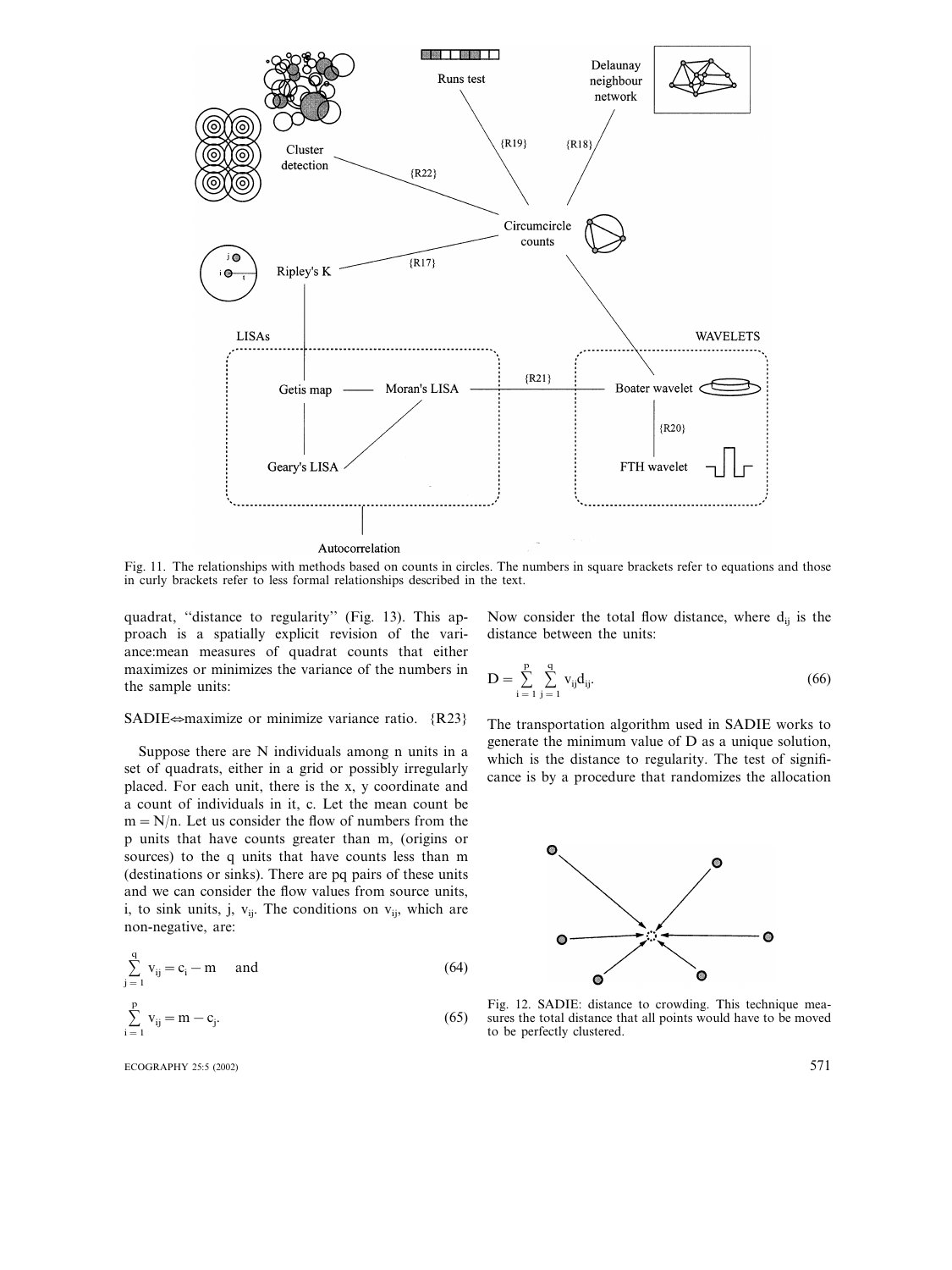

Autocorrelation

Fig. 11. The relationships with methods based on counts in circles. The numbers in square brackets refer to equations and those in curly brackets refer to less formal relationships described in the text.

quadrat, ''distance to regularity'' (Fig. 13). This approach is a spatially explicit revision of the variance:mean measures of quadrat counts that either maximizes or minimizes the variance of the numbers in the sample units:

#### SADIE $\Leftrightarrow$  maximize or minimize variance ratio. {R23}

Suppose there are N individuals among n units in a set of quadrats, either in a grid or possibly irregularly placed. For each unit, there is the x, y coordinate and a count of individuals in it, c. Let the mean count be  $m = N/n$ . Let us consider the flow of numbers from the p units that have counts greater than m, (origins or sources) to the q units that have counts less than m (destinations or sinks). There are pq pairs of these units and we can consider the flow values from source units, i, to sink units, j,  $v_{ij}$ . The conditions on  $v_{ij}$ , which are non-negative, are:

$$
\sum_{j=1}^{q} v_{ij} = c_i - m \text{ and } (64)
$$

$$
\sum_{i=1}^{p} v_{ij} = m - c_j.
$$
 (65)

 $ECOGRAPHY 25:5 (2002)$  571

Now consider the total flow distance, where  $d_{ii}$  is the distance between the units:

$$
D = \sum_{i=1}^{p} \sum_{j=1}^{q} v_{ij} d_{ij}.
$$
 (66)

The transportation algorithm used in SADIE works to generate the minimum value of D as a unique solution, which is the distance to regularity. The test of significance is by a procedure that randomizes the allocation



Fig. 12. SADIE: distance to crowding. This technique measures the total distance that all points would have to be moved to be perfectly clustered.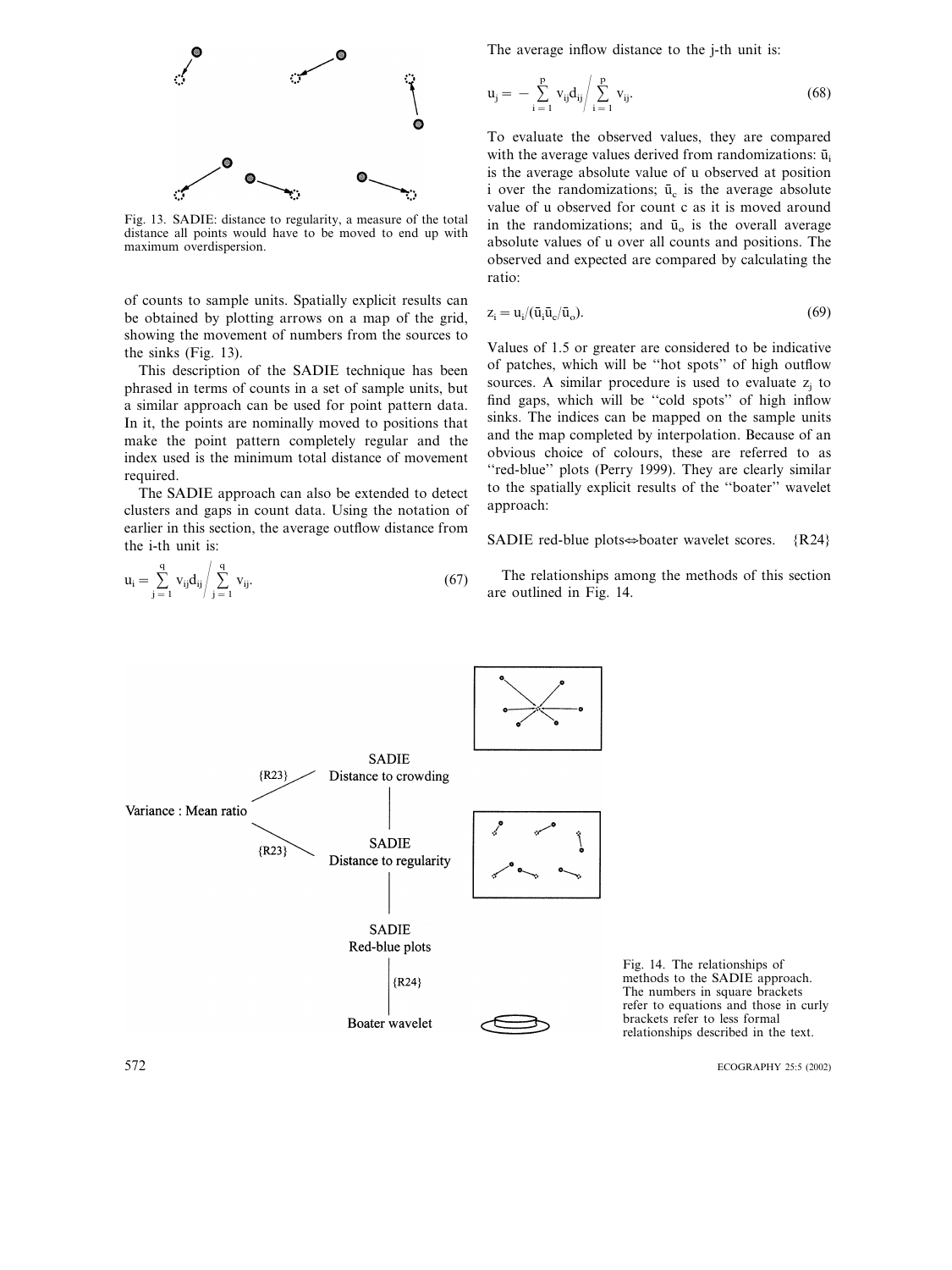

Fig. 13. SADIE: distance to regularity, a measure of the total distance all points would have to be moved to end up with maximum overdispersion.

of counts to sample units. Spatially explicit results can be obtained by plotting arrows on a map of the grid, showing the movement of numbers from the sources to the sinks (Fig. 13).

This description of the SADIE technique has been phrased in terms of counts in a set of sample units, but a similar approach can be used for point pattern data. In it, the points are nominally moved to positions that make the point pattern completely regular and the index used is the minimum total distance of movement required.

The SADIE approach can also be extended to detect clusters and gaps in count data. Using the notation of earlier in this section, the average outflow distance from the i-th unit is:

$$
u_{i} = \sum_{j=1}^{q} v_{ij} d_{ij} / \sum_{j=1}^{q} v_{ij}.
$$
 (67)

The average inflow distance to the j-th unit is:

$$
u_{j} = -\sum_{i=1}^{p} v_{ij} d_{ij} / \sum_{i=1}^{p} v_{ij}.
$$
 (68)

To evaluate the observed values, they are compared with the average values derived from randomizations:  $\bar{u}_i$ is the average absolute value of u observed at position i over the randomizations;  $\bar{u}_c$  is the average absolute value of u observed for count c as it is moved around in the randomizations; and  $\bar{u}_o$  is the overall average absolute values of u over all counts and positions. The observed and expected are compared by calculating the ratio:

$$
z_i = u_i/(\bar{u}_i \bar{u}_c/\bar{u}_o). \tag{69}
$$

Values of 1.5 or greater are considered to be indicative of patches, which will be ''hot spots'' of high outflow sources. A similar procedure is used to evaluate  $z_i$  to find gaps, which will be ''cold spots'' of high inflow sinks. The indices can be mapped on the sample units and the map completed by interpolation. Because of an obvious choice of colours, these are referred to as "red-blue" plots (Perry 1999). They are clearly similar to the spatially explicit results of the ''boater'' wavelet approach:

SADIE red-blue plots $\Leftrightarrow$ boater wavelet scores. {R24}

The relationships among the methods of this section are outlined in Fig. 14.



Fig. 14. The relationships of methods to the SADIE approach. The numbers in square brackets refer to equations and those in curly brackets refer to less formal relationships described in the text.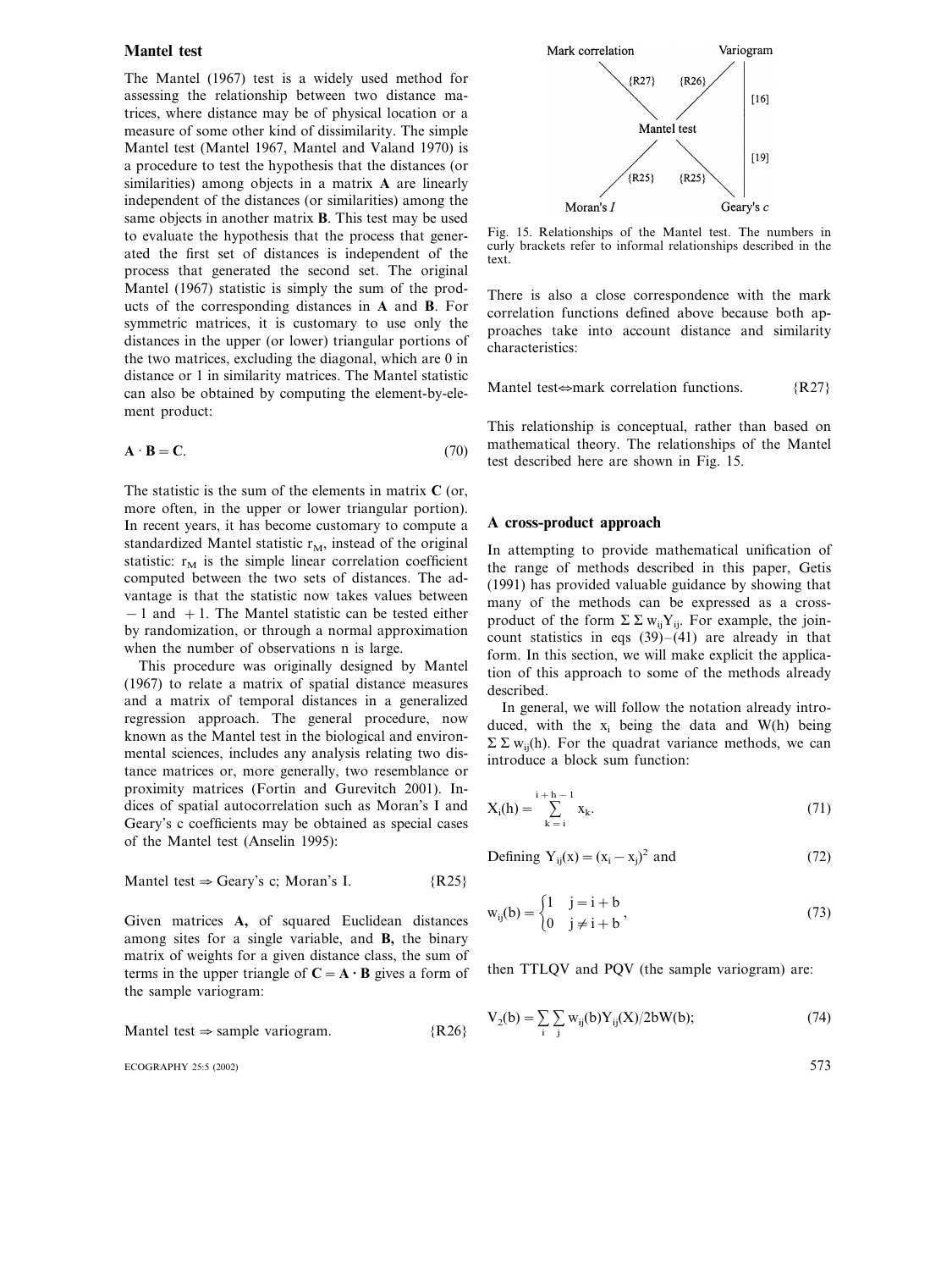## **Mantel test**

The Mantel (1967) test is a widely used method for assessing the relationship between two distance matrices, where distance may be of physical location or a measure of some other kind of dissimilarity. The simple Mantel test (Mantel 1967, Mantel and Valand 1970) is a procedure to test the hypothesis that the distances (or similarities) among objects in a matrix **A** are linearly independent of the distances (or similarities) among the same objects in another matrix **B**. This test may be used to evaluate the hypothesis that the process that generated the first set of distances is independent of the process that generated the second set. The original Mantel (1967) statistic is simply the sum of the products of the corresponding distances in **A** and **B**. For symmetric matrices, it is customary to use only the distances in the upper (or lower) triangular portions of the two matrices, excluding the diagonal, which are 0 in distance or 1 in similarity matrices. The Mantel statistic can also be obtained by computing the element-by-element product:

$$
\mathbf{A} \cdot \mathbf{B} = \mathbf{C}.\tag{70}
$$

The statistic is the sum of the elements in matrix **C** (or, more often, in the upper or lower triangular portion). In recent years, it has become customary to compute a standardized Mantel statistic  $r_M$ , instead of the original statistic:  $r_M$  is the simple linear correlation coefficient computed between the two sets of distances. The advantage is that the statistic now takes values between −1 and +1. The Mantel statistic can be tested either by randomization, or through a normal approximation when the number of observations n is large.

This procedure was originally designed by Mantel (1967) to relate a matrix of spatial distance measures and a matrix of temporal distances in a generalized regression approach. The general procedure, now known as the Mantel test in the biological and environmental sciences, includes any analysis relating two distance matrices or, more generally, two resemblance or proximity matrices (Fortin and Gurevitch 2001). Indices of spatial autocorrelation such as Moran's I and Geary's c coefficients may be obtained as special cases of the Mantel test (Anselin 1995):

$$
Mantel test \Rightarrow Geary's c; Moran's I. \qquad \{R25\}
$$

Given matrices **A,** of squared Euclidean distances among sites for a single variable, and **B,** the binary matrix of weights for a given distance class, the sum of terms in the upper triangle of  $C = A \cdot B$  gives a form of the sample variogram:

Mantel test  $\Rightarrow$  sample variogram. {R26}

 $ECOGRAPHY 25:5 (2002)$  573



Fig. 15. Relationships of the Mantel test. The numbers in curly brackets refer to informal relationships described in the text.

There is also a close correspondence with the mark correlation functions defined above because both approaches take into account distance and similarity characteristics:

$$
Mantel test \Leftrightarrow mark correlation functions. \qquad \{R27\}
$$

This relationship is conceptual, rather than based on mathematical theory. The relationships of the Mantel test described here are shown in Fig. 15.

#### **A cross-product approach**

In attempting to provide mathematical unification of the range of methods described in this paper, Getis (1991) has provided valuable guidance by showing that many of the methods can be expressed as a crossproduct of the form  $\Sigma \Sigma w_{ii}Y_{ii}$ . For example, the joincount statistics in eqs  $(39)$ – $(41)$  are already in that form. In this section, we will make explicit the application of this approach to some of the methods already described.

In general, we will follow the notation already introduced, with the  $x_i$  being the data and W(h) being  $\Sigma \Sigma w_{ii}(h)$ . For the quadrat variance methods, we can introduce a block sum function:

$$
X_i(h) = \sum_{k=i}^{i+h-1} x_k.
$$
 (71)

Defining 
$$
Y_{ij}(x) = (x_i - x_j)^2
$$
 and (72)

$$
w_{ij}(b) = \begin{cases} 1 & j=i+b \\ 0 & j \neq i+b \end{cases}
$$
 (73)

then TTLQV and PQV (the sample variogram) are:

$$
V_2(b) = \sum_{i} \sum_{j} w_{ij}(b) Y_{ij}(X)/2bW(b); \qquad (74)
$$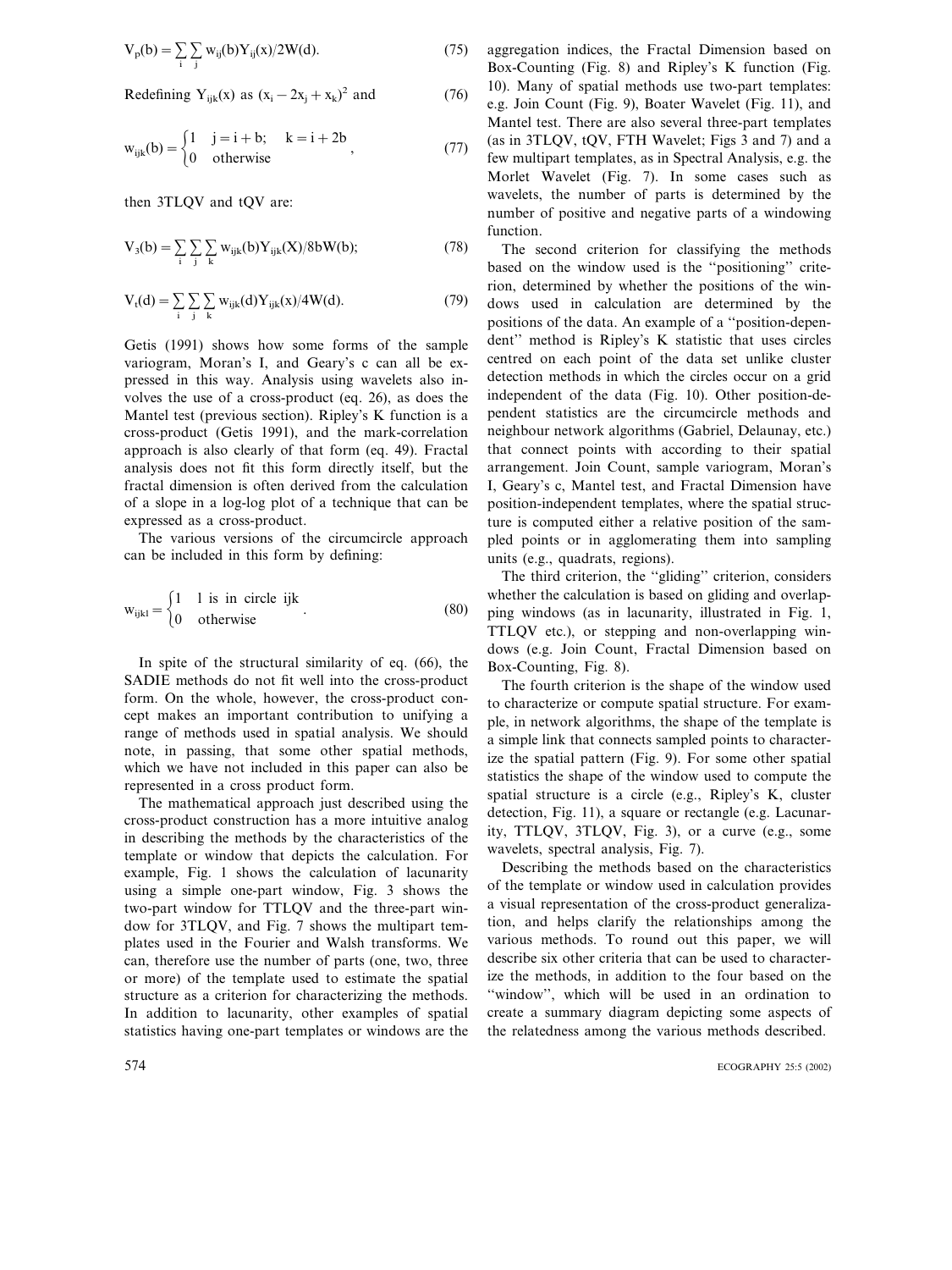$$
V_{p}(b) = \sum_{i} \sum_{j} w_{ij}(b) Y_{ij}(x) / 2W(d).
$$
 (75)

Redefining  $Y_{ijk}(x)$  as  $(x_i - 2x_j + x_k)^2$  and (76)

$$
w_{ijk}(b) = \begin{cases} 1 & j=i+b; & k=i+2b \\ 0 & \text{otherwise} \end{cases}
$$
 (77)

then 3TLQV and tQV are:

$$
V_3(b) = \sum_{i} \sum_{j} \sum_{k} w_{ijk}(b) Y_{ijk}(X)/8bW(b);
$$
 (78)

$$
V_{t}(d) = \sum_{i} \sum_{j} \sum_{k} w_{ijk}(d) Y_{ijk}(x) / 4W(d).
$$
 (79)

Getis (1991) shows how some forms of the sample variogram, Moran's I, and Geary's c can all be expressed in this way. Analysis using wavelets also involves the use of a cross-product (eq. 26), as does the Mantel test (previous section). Ripley's K function is a cross-product (Getis 1991), and the mark-correlation approach is also clearly of that form (eq. 49). Fractal analysis does not fit this form directly itself, but the fractal dimension is often derived from the calculation of a slope in a log-log plot of a technique that can be expressed as a cross-product.

The various versions of the circumcircle approach can be included in this form by defining:

$$
\mathbf{w}_{ijkl} = \begin{cases} 1 & 1 \text{ is in circle ijk} \\ 0 & \text{otherwise} \end{cases} . \tag{80}
$$

In spite of the structural similarity of eq. (66), the SADIE methods do not fit well into the cross-product form. On the whole, however, the cross-product concept makes an important contribution to unifying a range of methods used in spatial analysis. We should note, in passing, that some other spatial methods, which we have not included in this paper can also be represented in a cross product form.

The mathematical approach just described using the cross-product construction has a more intuitive analog in describing the methods by the characteristics of the template or window that depicts the calculation. For example, Fig. 1 shows the calculation of lacunarity using a simple one-part window, Fig. 3 shows the two-part window for TTLQV and the three-part window for 3TLQV, and Fig. 7 shows the multipart templates used in the Fourier and Walsh transforms. We can, therefore use the number of parts (one, two, three or more) of the template used to estimate the spatial structure as a criterion for characterizing the methods. In addition to lacunarity, other examples of spatial statistics having one-part templates or windows are the

aggregation indices, the Fractal Dimension based on Box-Counting (Fig. 8) and Ripley's K function (Fig. 10). Many of spatial methods use two-part templates: e.g. Join Count (Fig. 9), Boater Wavelet (Fig. 11), and Mantel test. There are also several three-part templates (as in 3TLQV, tQV, FTH Wavelet; Figs 3 and 7) and a few multipart templates, as in Spectral Analysis, e.g. the Morlet Wavelet (Fig. 7). In some cases such as wavelets, the number of parts is determined by the number of positive and negative parts of a windowing function.

The second criterion for classifying the methods based on the window used is the ''positioning'' criterion, determined by whether the positions of the windows used in calculation are determined by the positions of the data. An example of a ''position-dependent'' method is Ripley's K statistic that uses circles centred on each point of the data set unlike cluster detection methods in which the circles occur on a grid independent of the data (Fig. 10). Other position-dependent statistics are the circumcircle methods and neighbour network algorithms (Gabriel, Delaunay, etc.) that connect points with according to their spatial arrangement. Join Count, sample variogram, Moran's I, Geary's c, Mantel test, and Fractal Dimension have position-independent templates, where the spatial structure is computed either a relative position of the sampled points or in agglomerating them into sampling units (e.g., quadrats, regions).

The third criterion, the ''gliding'' criterion, considers whether the calculation is based on gliding and overlapping windows (as in lacunarity, illustrated in Fig. 1, TTLQV etc.), or stepping and non-overlapping windows (e.g. Join Count, Fractal Dimension based on Box-Counting, Fig. 8).

The fourth criterion is the shape of the window used to characterize or compute spatial structure. For example, in network algorithms, the shape of the template is a simple link that connects sampled points to characterize the spatial pattern (Fig. 9). For some other spatial statistics the shape of the window used to compute the spatial structure is a circle (e.g., Ripley's K, cluster detection, Fig. 11), a square or rectangle (e.g. Lacunarity, TTLQV, 3TLQV, Fig. 3), or a curve (e.g., some wavelets, spectral analysis, Fig. 7).

Describing the methods based on the characteristics of the template or window used in calculation provides a visual representation of the cross-product generalization, and helps clarify the relationships among the various methods. To round out this paper, we will describe six other criteria that can be used to characterize the methods, in addition to the four based on the ''window'', which will be used in an ordination to create a summary diagram depicting some aspects of the relatedness among the various methods described.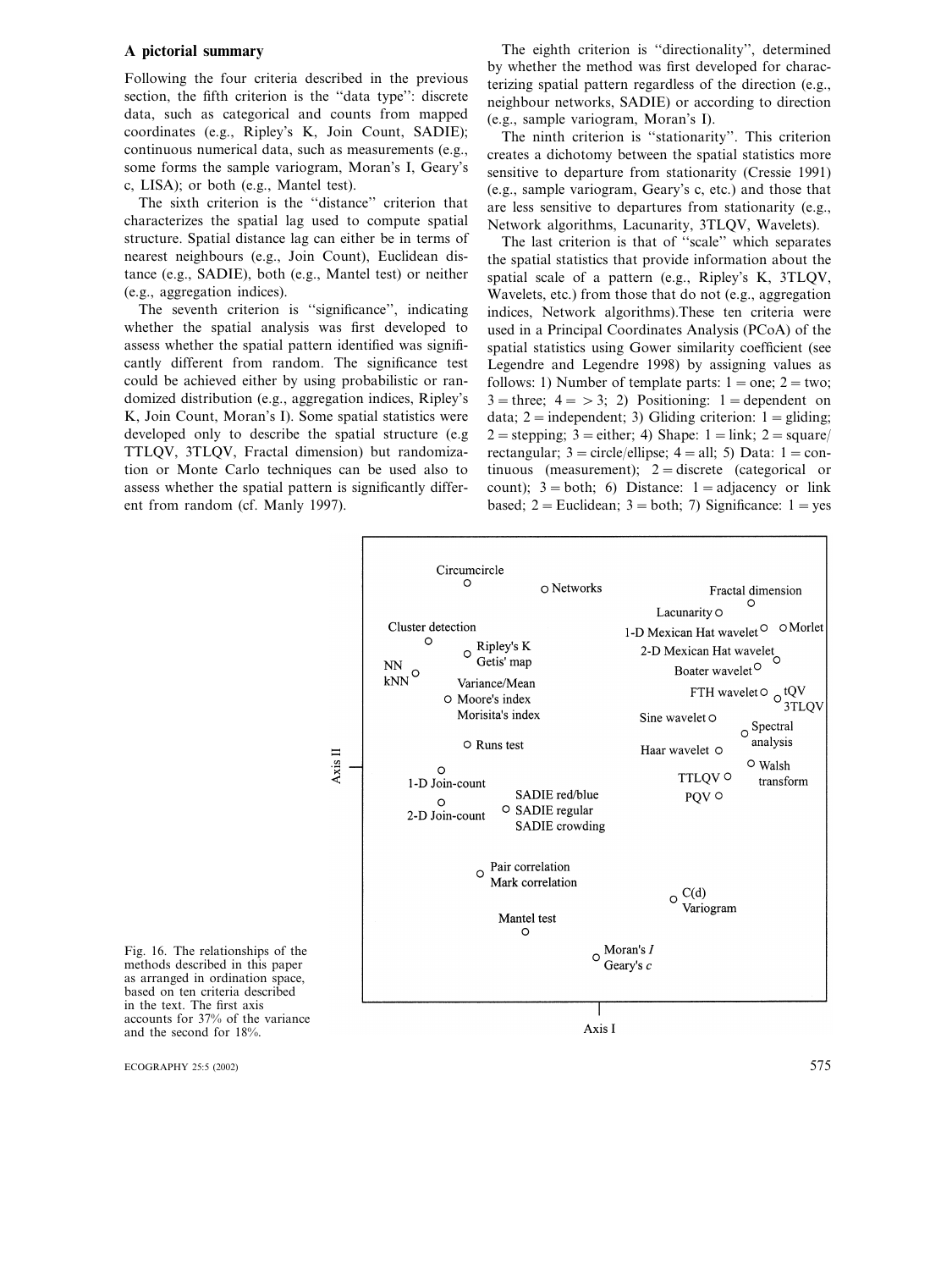## **A pictorial summary**

Following the four criteria described in the previous section, the fifth criterion is the ''data type'': discrete data, such as categorical and counts from mapped coordinates (e.g., Ripley's K, Join Count, SADIE); continuous numerical data, such as measurements (e.g., some forms the sample variogram, Moran's I, Geary's c, LISA); or both (e.g., Mantel test).

The sixth criterion is the ''distance'' criterion that characterizes the spatial lag used to compute spatial structure. Spatial distance lag can either be in terms of nearest neighbours (e.g., Join Count), Euclidean distance (e.g., SADIE), both (e.g., Mantel test) or neither (e.g., aggregation indices).

The seventh criterion is ''significance'', indicating whether the spatial analysis was first developed to assess whether the spatial pattern identified was significantly different from random. The significance test could be achieved either by using probabilistic or randomized distribution (e.g., aggregation indices, Ripley's K, Join Count, Moran's I). Some spatial statistics were developed only to describe the spatial structure (e.g TTLQV, 3TLQV, Fractal dimension) but randomization or Monte Carlo techniques can be used also to assess whether the spatial pattern is significantly different from random (cf. Manly 1997).

The eighth criterion is ''directionality'', determined by whether the method was first developed for characterizing spatial pattern regardless of the direction (e.g., neighbour networks, SADIE) or according to direction (e.g., sample variogram, Moran's I).

The ninth criterion is ''stationarity''. This criterion creates a dichotomy between the spatial statistics more sensitive to departure from stationarity (Cressie 1991) (e.g., sample variogram, Geary's c, etc.) and those that are less sensitive to departures from stationarity (e.g., Network algorithms, Lacunarity, 3TLQV, Wavelets).

The last criterion is that of ''scale'' which separates the spatial statistics that provide information about the spatial scale of a pattern (e.g., Ripley's K, 3TLQV, Wavelets, etc.) from those that do not (e.g., aggregation indices, Network algorithms).These ten criteria were used in a Principal Coordinates Analysis (PCoA) of the spatial statistics using Gower similarity coefficient (see Legendre and Legendre 1998) by assigning values as follows: 1) Number of template parts:  $1 =$ one;  $2 =$ two;  $3 =$  three;  $4 = > 3$ ; 2) Positioning: 1 = dependent on data;  $2 =$ independent; 3) Gliding criterion:  $1 =$ gliding;  $2 =$ stepping;  $3 =$ either; 4) Shape:  $1 =$ link;  $2 =$ square/ rectangular;  $3 = \text{circle/ellipse}$ ;  $4 = \text{all}$ ; 5) Data:  $1 = \text{con-}$ tinuous (measurement);  $2 =$  discrete (categorical or count);  $3 = \text{both}$ ; 6) Distance:  $1 = \text{adjacency}$  or link based;  $2 =$ Euclidean;  $3 =$ both; 7) Significance:  $1 =$ yes



Fig. 16. The relationships of the methods described in this paper as arranged in ordination space, based on ten criteria described in the text. The first axis accounts for 37% of the variance and the second for 18%.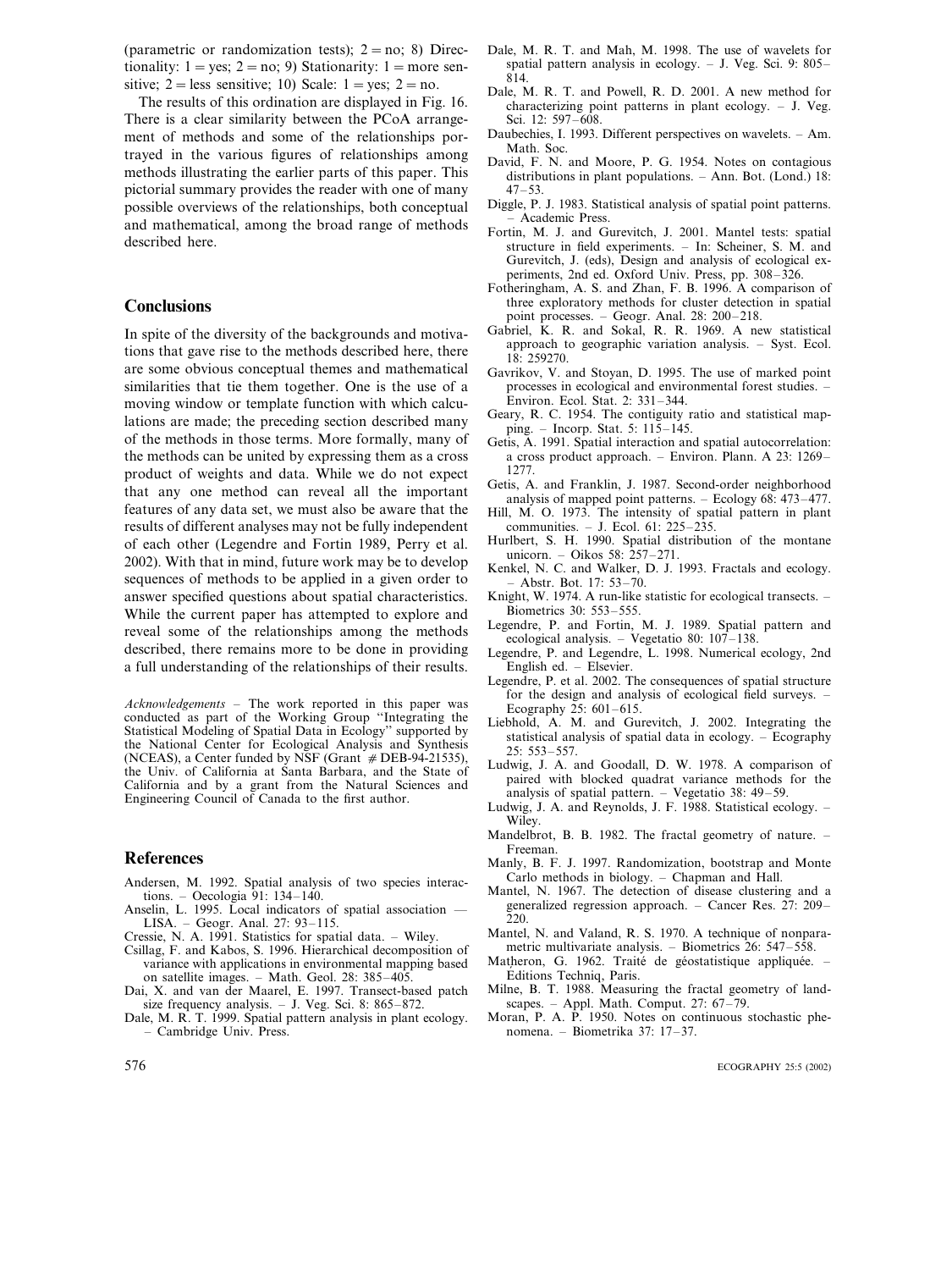(parametric or randomization tests);  $2 = no$ ; 8) Directionality:  $1 = yes$ ;  $2 = no$ ; 9) Stationarity:  $1 = more$  sensitive;  $2 =$  less sensitive; 10) Scale:  $1 =$  yes;  $2 =$  no.

The results of this ordination are displayed in Fig. 16. There is a clear similarity between the PCoA arrangement of methods and some of the relationships portrayed in the various figures of relationships among methods illustrating the earlier parts of this paper. This pictorial summary provides the reader with one of many possible overviews of the relationships, both conceptual and mathematical, among the broad range of methods described here.

# **Conclusions**

In spite of the diversity of the backgrounds and motivations that gave rise to the methods described here, there are some obvious conceptual themes and mathematical similarities that tie them together. One is the use of a moving window or template function with which calculations are made; the preceding section described many of the methods in those terms. More formally, many of the methods can be united by expressing them as a cross product of weights and data. While we do not expect that any one method can reveal all the important features of any data set, we must also be aware that the results of different analyses may not be fully independent of each other (Legendre and Fortin 1989, Perry et al. 2002). With that in mind, future work may be to develop sequences of methods to be applied in a given order to answer specified questions about spatial characteristics. While the current paper has attempted to explore and reveal some of the relationships among the methods described, there remains more to be done in providing a full understanding of the relationships of their results.

*Acknowledgements* – The work reported in this paper was conducted as part of the Working Group ''Integrating the Statistical Modeling of Spatial Data in Ecology'' supported by the National Center for Ecological Analysis and Synthesis (NCEAS), a Center funded by NSF (Grant  $#$  DEB-94-21535), the Univ. of California at Santa Barbara, and the State of California and by a grant from the Natural Sciences and Engineering Council of Canada to the first author.

## **References**

- Andersen, M. 1992. Spatial analysis of two species interactions. – Oecologia 91: 134–140.
- Anselin, L. 1995. Local indicators of spatial association LISA. – Geogr. Anal. 27: 93–115.
- Cressie, N. A. 1991. Statistics for spatial data. Wiley.
- Csillag, F. and Kabos, S. 1996. Hierarchical decomposition of variance with applications in environmental mapping based on satellite images. – Math. Geol. 28: 385–405.
- Dai, X. and van der Maarel, E. 1997. Transect-based patch size frequency analysis. – J. Veg. Sci. 8: 865–872.
- Dale, M. R. T. 1999. Spatial pattern analysis in plant ecology. – Cambridge Univ. Press.
- Dale, M. R. T. and Mah, M. 1998. The use of wavelets for spatial pattern analysis in ecology. – J. Veg. Sci. 9: 805– 814.
- Dale, M. R. T. and Powell, R. D. 2001. A new method for characterizing point patterns in plant ecology. – J. Veg. Sci. 12: 597–608.
- Daubechies, I. 1993. Different perspectives on wavelets. Am. Math. Soc.
- David, F. N. and Moore, P. G. 1954. Notes on contagious distributions in plant populations. – Ann. Bot. (Lond.) 18:  $47 - 53$ .
- Diggle, P. J. 1983. Statistical analysis of spatial point patterns. – Academic Press.
- Fortin, M. J. and Gurevitch, J. 2001. Mantel tests: spatial structure in field experiments. – In: Scheiner, S. M. and Gurevitch, J. (eds), Design and analysis of ecological experiments, 2nd ed. Oxford Univ. Press, pp. 308–326.
- Fotheringham, A. S. and Zhan, F. B. 1996. A comparison of three exploratory methods for cluster detection in spatial point processes. – Geogr. Anal. 28: 200–218.
- Gabriel, K. R. and Sokal, R. R. 1969. A new statistical approach to geographic variation analysis. – Syst. Ecol. 18: 259270.
- Gavrikov, V. and Stoyan, D. 1995. The use of marked point processes in ecological and environmental forest studies. – Environ. Ecol. Stat. 2: 331–344.
- Geary, R. C. 1954. The contiguity ratio and statistical mapping. – Incorp. Stat. 5: 115–145.
- Getis, A. 1991. Spatial interaction and spatial autocorrelation: a cross product approach. – Environ. Plann. A 23: 1269– 1277.
- Getis, A. and Franklin, J. 1987. Second-order neighborhood analysis of mapped point patterns. – Ecology 68: 473–477.
- Hill, M. O. 1973. The intensity of spatial pattern in plant communities. – J. Ecol. 61: 225–235.
- Hurlbert, S. H. 1990. Spatial distribution of the montane unicorn. – Oikos 58: 257–271.
- Kenkel, N. C. and Walker, D. J. 1993. Fractals and ecology. – Abstr. Bot. 17: 53–70.
- Knight, W. 1974. A run-like statistic for ecological transects. Biometrics 30: 553–555.
- Legendre, P. and Fortin, M. J. 1989. Spatial pattern and ecological analysis. – Vegetatio 80:  $107-138$ .
- Legendre, P. and Legendre, L. 1998. Numerical ecology, 2nd English ed. – Elsevier.
- Legendre, P. et al. 2002. The consequences of spatial structure for the design and analysis of ecological field surveys. – Ecography 25: 601–615.
- Liebhold, A. M. and Gurevitch, J. 2002. Integrating the statistical analysis of spatial data in ecology. – Ecography 25: 553–557.
- Ludwig, J. A. and Goodall, D. W. 1978. A comparison of paired with blocked quadrat variance methods for the analysis of spatial pattern. – Vegetatio 38: 49–59.
- Ludwig, J. A. and Reynolds, J. F. 1988. Statistical ecology. Wiley.
- Mandelbrot, B. B. 1982. The fractal geometry of nature. Freeman.
- Manly, B. F. J. 1997. Randomization, bootstrap and Monte Carlo methods in biology. – Chapman and Hall.
- Mantel, N. 1967. The detection of disease clustering and a generalized regression approach. – Cancer Res. 27: 209– 220.
- Mantel, N. and Valand, R. S. 1970. A technique of nonparametric multivariate analysis. – Biometrics 26: 547–558.
- Matheron, G. 1962. Traité de géostatistique appliquée. Editions Techniq, Paris.
- Milne, B. T. 1988. Measuring the fractal geometry of landscapes. – Appl. Math. Comput. 27: 67–79.
- Moran, P. A. P. 1950. Notes on continuous stochastic phenomena. – Biometrika 37: 17–37.